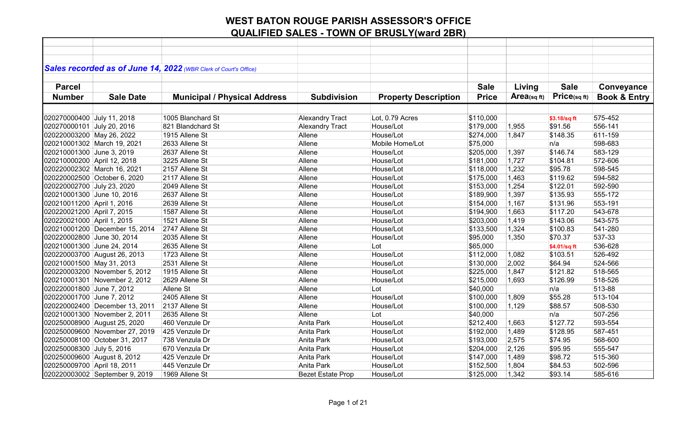| Sales recorded as of June 14, 2022 (WBR Clerk of Court's Office)<br><b>Sale</b><br><b>Sale</b><br><b>Parcel</b><br>Living<br>Conveyance<br>Price(sqft)<br>Area(sqft)<br><b>Sale Date</b><br><b>Municipal / Physical Address</b><br><b>Property Description</b><br><b>Price</b><br><b>Book &amp; Entry</b><br><b>Number</b><br><b>Subdivision</b><br>020270000400 July 11, 2018<br>1005 Blanchard St<br><b>Alexandry Tract</b><br>Lot, 0.79 Acres<br>\$110,000<br>575-452<br>\$3.18/sq ft<br>556-141<br>020270000101 July 20, 2016<br>821 Blandchard St<br><b>Alexandry Tract</b><br>House/Lot<br>\$179,000<br>1,955<br>\$91.56<br>House/Lot<br>611-159<br>020220003200 May 26, 2022<br>1915 Allene St<br>Allene<br>\$274,000<br>1,847<br>\$148.35<br>\$75,000<br>598-683<br>020210001302 March 19, 2021<br>2633 Allene St<br>Allene<br>Mobile Home/Lot<br>n/a<br>020210001300 June 3, 2019<br>Allene<br>House/Lot<br>\$205,000<br>1,397<br>\$146.74<br>583-129<br>2637 Allene St<br>020210000200 April 12, 2018<br>House/Lot<br>\$181,000<br>1,727<br>572-606<br>3225 Allene St<br>Allene<br>\$104.81<br>House/Lot<br>1,232<br>\$95.78<br>598-545<br>020220002302 March 16, 2021<br>2157 Allene St<br>Allene<br>\$118,000<br>1,463<br>\$119.62<br>594-582<br>020220002500 October 6, 2020<br>2117 Allene St<br>Allene<br>House/Lot<br>\$175,000<br>020220002700 July 23, 2020<br>Allene<br>House/Lot<br>1,254<br>\$122.01<br>592-590<br>2049 Allene St<br>\$153,000<br>1,397<br>\$135.93<br>555-172<br>020210001300 June 10, 2016<br>2637 Allene St<br>Allene<br>House/Lot<br>\$189,900<br>553-191<br>020210011200 April 1, 2016<br>House/Lot<br>1,167<br>\$131.96<br>2639 Allene St<br>Allene<br>\$154,000<br>020220021200 April 7, 2015<br>1587 Allene St<br>House/Lot<br>\$117.20<br>543-678<br>Allene<br>\$194,900<br>1,663<br>020220021000 April 1, 2015<br>1521 Allene St<br>Allene<br>House/Lot<br>1,419<br>\$143.06<br>543-575<br>\$203,000<br>020210001200 December 15, 2014<br>2747 Allene St<br>Allene<br>House/Lot<br>\$133,500<br>1,324<br>\$100.83<br>541-280<br>537-33<br>Allene<br>House/Lot<br>1,350<br>\$70.37<br>020220002800 June 30, 2014<br>2035 Allene St<br>\$95,000<br>020210001300 June 24, 2014<br>2635 Allene St<br>Allene<br>\$65,000<br>536-628<br>Lot<br>\$4.01/sq ft<br>526-492<br>020220003700 August 26, 2013<br>1723 Allene St<br>Allene<br>House/Lot<br>\$112,000<br>\$103.51<br>1,082<br>524-566<br>020210001500 May 31, 2013<br>2531 Allene St<br>Allene<br>\$130,000<br>2,002<br>\$64.94<br>House/Lot<br>518-565<br>020220003200 November 5, 2012<br>1915 Allene St<br>House/Lot<br>\$225,000<br>1,847<br>\$121.82<br>Allene<br>\$126.99<br>518-526<br>020210001301 November 2, 2012<br>2629 Allene St<br>Allene<br>House/Lot<br>\$215,000<br>1,693<br>513-88<br>020220001800 June 7, 2012<br>Allene St<br>Allene<br>Lot<br>\$40,000<br>n/a<br>\$55.28<br>513-104<br>020220001700 June 7, 2012<br>2405 Allene St<br>Allene<br>House/Lot<br>\$100,000<br>1,809<br>1,129<br>\$88.57<br>508-530<br>020220002400 December 13, 2011<br>2137 Allene St<br>Allene<br>House/Lot<br>\$100,000<br>507-256<br>020210001300 November 2, 2011<br>2635 Allene St<br>Allene<br>Lot<br>\$40,000<br>n/a<br>House/Lot<br>\$127.72<br>593-554<br>020250008900 August 25, 2020<br>460 Venzule Dr<br>Anita Park<br>\$212,400<br>1,663<br>587-451<br>020250009600 November 27, 2019<br>425 Venzule Dr<br>Anita Park<br>House/Lot<br>\$192,000<br>1,489<br>\$128.95<br>2,575<br>568-600<br>020250008100 October 31, 2017<br>738 Venzula Dr<br>Anita Park<br>House/Lot<br>\$193,000<br>\$74.95<br>020250008300 July 5, 2016<br>670 Venzula Dr<br><b>Anita Park</b><br>House/Lot<br>2,126<br>\$95.95<br>555-547<br>\$204,000<br>515-360<br>020250009600 August 8, 2012<br>425 Venzule Dr<br>Anita Park<br>House/Lot<br>\$147,000<br>1,489<br>\$98.72<br>020250009700 April 18, 2011<br>Anita Park<br>House/Lot<br>\$84.53<br>502-596<br>445 Venzule Dr<br>\$152,500<br>1,804<br>1969 Allene St<br>House/Lot<br>\$125,000<br>\$93.14<br>585-616<br>020220003002 September 9, 2019<br><b>Bezet Estate Prop</b><br>1,342 |  |  |  |  |  |
|-------------------------------------------------------------------------------------------------------------------------------------------------------------------------------------------------------------------------------------------------------------------------------------------------------------------------------------------------------------------------------------------------------------------------------------------------------------------------------------------------------------------------------------------------------------------------------------------------------------------------------------------------------------------------------------------------------------------------------------------------------------------------------------------------------------------------------------------------------------------------------------------------------------------------------------------------------------------------------------------------------------------------------------------------------------------------------------------------------------------------------------------------------------------------------------------------------------------------------------------------------------------------------------------------------------------------------------------------------------------------------------------------------------------------------------------------------------------------------------------------------------------------------------------------------------------------------------------------------------------------------------------------------------------------------------------------------------------------------------------------------------------------------------------------------------------------------------------------------------------------------------------------------------------------------------------------------------------------------------------------------------------------------------------------------------------------------------------------------------------------------------------------------------------------------------------------------------------------------------------------------------------------------------------------------------------------------------------------------------------------------------------------------------------------------------------------------------------------------------------------------------------------------------------------------------------------------------------------------------------------------------------------------------------------------------------------------------------------------------------------------------------------------------------------------------------------------------------------------------------------------------------------------------------------------------------------------------------------------------------------------------------------------------------------------------------------------------------------------------------------------------------------------------------------------------------------------------------------------------------------------------------------------------------------------------------------------------------------------------------------------------------------------------------------------------------------------------------------------------------------------------------------------------------------------------------------------------------------------------------------------------------------------------------------------------------------------------------------------------------------------------------------------------------------------------------------------------------------------------------------------------------------------------------------------------------------------------------------------------------------------------------------------------------------------------------------------------------------------------------------------------|--|--|--|--|--|
|                                                                                                                                                                                                                                                                                                                                                                                                                                                                                                                                                                                                                                                                                                                                                                                                                                                                                                                                                                                                                                                                                                                                                                                                                                                                                                                                                                                                                                                                                                                                                                                                                                                                                                                                                                                                                                                                                                                                                                                                                                                                                                                                                                                                                                                                                                                                                                                                                                                                                                                                                                                                                                                                                                                                                                                                                                                                                                                                                                                                                                                                                                                                                                                                                                                                                                                                                                                                                                                                                                                                                                                                                                                                                                                                                                                                                                                                                                                                                                                                                                                                                                                                     |  |  |  |  |  |
|                                                                                                                                                                                                                                                                                                                                                                                                                                                                                                                                                                                                                                                                                                                                                                                                                                                                                                                                                                                                                                                                                                                                                                                                                                                                                                                                                                                                                                                                                                                                                                                                                                                                                                                                                                                                                                                                                                                                                                                                                                                                                                                                                                                                                                                                                                                                                                                                                                                                                                                                                                                                                                                                                                                                                                                                                                                                                                                                                                                                                                                                                                                                                                                                                                                                                                                                                                                                                                                                                                                                                                                                                                                                                                                                                                                                                                                                                                                                                                                                                                                                                                                                     |  |  |  |  |  |
|                                                                                                                                                                                                                                                                                                                                                                                                                                                                                                                                                                                                                                                                                                                                                                                                                                                                                                                                                                                                                                                                                                                                                                                                                                                                                                                                                                                                                                                                                                                                                                                                                                                                                                                                                                                                                                                                                                                                                                                                                                                                                                                                                                                                                                                                                                                                                                                                                                                                                                                                                                                                                                                                                                                                                                                                                                                                                                                                                                                                                                                                                                                                                                                                                                                                                                                                                                                                                                                                                                                                                                                                                                                                                                                                                                                                                                                                                                                                                                                                                                                                                                                                     |  |  |  |  |  |
|                                                                                                                                                                                                                                                                                                                                                                                                                                                                                                                                                                                                                                                                                                                                                                                                                                                                                                                                                                                                                                                                                                                                                                                                                                                                                                                                                                                                                                                                                                                                                                                                                                                                                                                                                                                                                                                                                                                                                                                                                                                                                                                                                                                                                                                                                                                                                                                                                                                                                                                                                                                                                                                                                                                                                                                                                                                                                                                                                                                                                                                                                                                                                                                                                                                                                                                                                                                                                                                                                                                                                                                                                                                                                                                                                                                                                                                                                                                                                                                                                                                                                                                                     |  |  |  |  |  |
|                                                                                                                                                                                                                                                                                                                                                                                                                                                                                                                                                                                                                                                                                                                                                                                                                                                                                                                                                                                                                                                                                                                                                                                                                                                                                                                                                                                                                                                                                                                                                                                                                                                                                                                                                                                                                                                                                                                                                                                                                                                                                                                                                                                                                                                                                                                                                                                                                                                                                                                                                                                                                                                                                                                                                                                                                                                                                                                                                                                                                                                                                                                                                                                                                                                                                                                                                                                                                                                                                                                                                                                                                                                                                                                                                                                                                                                                                                                                                                                                                                                                                                                                     |  |  |  |  |  |
|                                                                                                                                                                                                                                                                                                                                                                                                                                                                                                                                                                                                                                                                                                                                                                                                                                                                                                                                                                                                                                                                                                                                                                                                                                                                                                                                                                                                                                                                                                                                                                                                                                                                                                                                                                                                                                                                                                                                                                                                                                                                                                                                                                                                                                                                                                                                                                                                                                                                                                                                                                                                                                                                                                                                                                                                                                                                                                                                                                                                                                                                                                                                                                                                                                                                                                                                                                                                                                                                                                                                                                                                                                                                                                                                                                                                                                                                                                                                                                                                                                                                                                                                     |  |  |  |  |  |
|                                                                                                                                                                                                                                                                                                                                                                                                                                                                                                                                                                                                                                                                                                                                                                                                                                                                                                                                                                                                                                                                                                                                                                                                                                                                                                                                                                                                                                                                                                                                                                                                                                                                                                                                                                                                                                                                                                                                                                                                                                                                                                                                                                                                                                                                                                                                                                                                                                                                                                                                                                                                                                                                                                                                                                                                                                                                                                                                                                                                                                                                                                                                                                                                                                                                                                                                                                                                                                                                                                                                                                                                                                                                                                                                                                                                                                                                                                                                                                                                                                                                                                                                     |  |  |  |  |  |
|                                                                                                                                                                                                                                                                                                                                                                                                                                                                                                                                                                                                                                                                                                                                                                                                                                                                                                                                                                                                                                                                                                                                                                                                                                                                                                                                                                                                                                                                                                                                                                                                                                                                                                                                                                                                                                                                                                                                                                                                                                                                                                                                                                                                                                                                                                                                                                                                                                                                                                                                                                                                                                                                                                                                                                                                                                                                                                                                                                                                                                                                                                                                                                                                                                                                                                                                                                                                                                                                                                                                                                                                                                                                                                                                                                                                                                                                                                                                                                                                                                                                                                                                     |  |  |  |  |  |
|                                                                                                                                                                                                                                                                                                                                                                                                                                                                                                                                                                                                                                                                                                                                                                                                                                                                                                                                                                                                                                                                                                                                                                                                                                                                                                                                                                                                                                                                                                                                                                                                                                                                                                                                                                                                                                                                                                                                                                                                                                                                                                                                                                                                                                                                                                                                                                                                                                                                                                                                                                                                                                                                                                                                                                                                                                                                                                                                                                                                                                                                                                                                                                                                                                                                                                                                                                                                                                                                                                                                                                                                                                                                                                                                                                                                                                                                                                                                                                                                                                                                                                                                     |  |  |  |  |  |
|                                                                                                                                                                                                                                                                                                                                                                                                                                                                                                                                                                                                                                                                                                                                                                                                                                                                                                                                                                                                                                                                                                                                                                                                                                                                                                                                                                                                                                                                                                                                                                                                                                                                                                                                                                                                                                                                                                                                                                                                                                                                                                                                                                                                                                                                                                                                                                                                                                                                                                                                                                                                                                                                                                                                                                                                                                                                                                                                                                                                                                                                                                                                                                                                                                                                                                                                                                                                                                                                                                                                                                                                                                                                                                                                                                                                                                                                                                                                                                                                                                                                                                                                     |  |  |  |  |  |
|                                                                                                                                                                                                                                                                                                                                                                                                                                                                                                                                                                                                                                                                                                                                                                                                                                                                                                                                                                                                                                                                                                                                                                                                                                                                                                                                                                                                                                                                                                                                                                                                                                                                                                                                                                                                                                                                                                                                                                                                                                                                                                                                                                                                                                                                                                                                                                                                                                                                                                                                                                                                                                                                                                                                                                                                                                                                                                                                                                                                                                                                                                                                                                                                                                                                                                                                                                                                                                                                                                                                                                                                                                                                                                                                                                                                                                                                                                                                                                                                                                                                                                                                     |  |  |  |  |  |
|                                                                                                                                                                                                                                                                                                                                                                                                                                                                                                                                                                                                                                                                                                                                                                                                                                                                                                                                                                                                                                                                                                                                                                                                                                                                                                                                                                                                                                                                                                                                                                                                                                                                                                                                                                                                                                                                                                                                                                                                                                                                                                                                                                                                                                                                                                                                                                                                                                                                                                                                                                                                                                                                                                                                                                                                                                                                                                                                                                                                                                                                                                                                                                                                                                                                                                                                                                                                                                                                                                                                                                                                                                                                                                                                                                                                                                                                                                                                                                                                                                                                                                                                     |  |  |  |  |  |
|                                                                                                                                                                                                                                                                                                                                                                                                                                                                                                                                                                                                                                                                                                                                                                                                                                                                                                                                                                                                                                                                                                                                                                                                                                                                                                                                                                                                                                                                                                                                                                                                                                                                                                                                                                                                                                                                                                                                                                                                                                                                                                                                                                                                                                                                                                                                                                                                                                                                                                                                                                                                                                                                                                                                                                                                                                                                                                                                                                                                                                                                                                                                                                                                                                                                                                                                                                                                                                                                                                                                                                                                                                                                                                                                                                                                                                                                                                                                                                                                                                                                                                                                     |  |  |  |  |  |
|                                                                                                                                                                                                                                                                                                                                                                                                                                                                                                                                                                                                                                                                                                                                                                                                                                                                                                                                                                                                                                                                                                                                                                                                                                                                                                                                                                                                                                                                                                                                                                                                                                                                                                                                                                                                                                                                                                                                                                                                                                                                                                                                                                                                                                                                                                                                                                                                                                                                                                                                                                                                                                                                                                                                                                                                                                                                                                                                                                                                                                                                                                                                                                                                                                                                                                                                                                                                                                                                                                                                                                                                                                                                                                                                                                                                                                                                                                                                                                                                                                                                                                                                     |  |  |  |  |  |
|                                                                                                                                                                                                                                                                                                                                                                                                                                                                                                                                                                                                                                                                                                                                                                                                                                                                                                                                                                                                                                                                                                                                                                                                                                                                                                                                                                                                                                                                                                                                                                                                                                                                                                                                                                                                                                                                                                                                                                                                                                                                                                                                                                                                                                                                                                                                                                                                                                                                                                                                                                                                                                                                                                                                                                                                                                                                                                                                                                                                                                                                                                                                                                                                                                                                                                                                                                                                                                                                                                                                                                                                                                                                                                                                                                                                                                                                                                                                                                                                                                                                                                                                     |  |  |  |  |  |
|                                                                                                                                                                                                                                                                                                                                                                                                                                                                                                                                                                                                                                                                                                                                                                                                                                                                                                                                                                                                                                                                                                                                                                                                                                                                                                                                                                                                                                                                                                                                                                                                                                                                                                                                                                                                                                                                                                                                                                                                                                                                                                                                                                                                                                                                                                                                                                                                                                                                                                                                                                                                                                                                                                                                                                                                                                                                                                                                                                                                                                                                                                                                                                                                                                                                                                                                                                                                                                                                                                                                                                                                                                                                                                                                                                                                                                                                                                                                                                                                                                                                                                                                     |  |  |  |  |  |
|                                                                                                                                                                                                                                                                                                                                                                                                                                                                                                                                                                                                                                                                                                                                                                                                                                                                                                                                                                                                                                                                                                                                                                                                                                                                                                                                                                                                                                                                                                                                                                                                                                                                                                                                                                                                                                                                                                                                                                                                                                                                                                                                                                                                                                                                                                                                                                                                                                                                                                                                                                                                                                                                                                                                                                                                                                                                                                                                                                                                                                                                                                                                                                                                                                                                                                                                                                                                                                                                                                                                                                                                                                                                                                                                                                                                                                                                                                                                                                                                                                                                                                                                     |  |  |  |  |  |
|                                                                                                                                                                                                                                                                                                                                                                                                                                                                                                                                                                                                                                                                                                                                                                                                                                                                                                                                                                                                                                                                                                                                                                                                                                                                                                                                                                                                                                                                                                                                                                                                                                                                                                                                                                                                                                                                                                                                                                                                                                                                                                                                                                                                                                                                                                                                                                                                                                                                                                                                                                                                                                                                                                                                                                                                                                                                                                                                                                                                                                                                                                                                                                                                                                                                                                                                                                                                                                                                                                                                                                                                                                                                                                                                                                                                                                                                                                                                                                                                                                                                                                                                     |  |  |  |  |  |
|                                                                                                                                                                                                                                                                                                                                                                                                                                                                                                                                                                                                                                                                                                                                                                                                                                                                                                                                                                                                                                                                                                                                                                                                                                                                                                                                                                                                                                                                                                                                                                                                                                                                                                                                                                                                                                                                                                                                                                                                                                                                                                                                                                                                                                                                                                                                                                                                                                                                                                                                                                                                                                                                                                                                                                                                                                                                                                                                                                                                                                                                                                                                                                                                                                                                                                                                                                                                                                                                                                                                                                                                                                                                                                                                                                                                                                                                                                                                                                                                                                                                                                                                     |  |  |  |  |  |
|                                                                                                                                                                                                                                                                                                                                                                                                                                                                                                                                                                                                                                                                                                                                                                                                                                                                                                                                                                                                                                                                                                                                                                                                                                                                                                                                                                                                                                                                                                                                                                                                                                                                                                                                                                                                                                                                                                                                                                                                                                                                                                                                                                                                                                                                                                                                                                                                                                                                                                                                                                                                                                                                                                                                                                                                                                                                                                                                                                                                                                                                                                                                                                                                                                                                                                                                                                                                                                                                                                                                                                                                                                                                                                                                                                                                                                                                                                                                                                                                                                                                                                                                     |  |  |  |  |  |
|                                                                                                                                                                                                                                                                                                                                                                                                                                                                                                                                                                                                                                                                                                                                                                                                                                                                                                                                                                                                                                                                                                                                                                                                                                                                                                                                                                                                                                                                                                                                                                                                                                                                                                                                                                                                                                                                                                                                                                                                                                                                                                                                                                                                                                                                                                                                                                                                                                                                                                                                                                                                                                                                                                                                                                                                                                                                                                                                                                                                                                                                                                                                                                                                                                                                                                                                                                                                                                                                                                                                                                                                                                                                                                                                                                                                                                                                                                                                                                                                                                                                                                                                     |  |  |  |  |  |
|                                                                                                                                                                                                                                                                                                                                                                                                                                                                                                                                                                                                                                                                                                                                                                                                                                                                                                                                                                                                                                                                                                                                                                                                                                                                                                                                                                                                                                                                                                                                                                                                                                                                                                                                                                                                                                                                                                                                                                                                                                                                                                                                                                                                                                                                                                                                                                                                                                                                                                                                                                                                                                                                                                                                                                                                                                                                                                                                                                                                                                                                                                                                                                                                                                                                                                                                                                                                                                                                                                                                                                                                                                                                                                                                                                                                                                                                                                                                                                                                                                                                                                                                     |  |  |  |  |  |
|                                                                                                                                                                                                                                                                                                                                                                                                                                                                                                                                                                                                                                                                                                                                                                                                                                                                                                                                                                                                                                                                                                                                                                                                                                                                                                                                                                                                                                                                                                                                                                                                                                                                                                                                                                                                                                                                                                                                                                                                                                                                                                                                                                                                                                                                                                                                                                                                                                                                                                                                                                                                                                                                                                                                                                                                                                                                                                                                                                                                                                                                                                                                                                                                                                                                                                                                                                                                                                                                                                                                                                                                                                                                                                                                                                                                                                                                                                                                                                                                                                                                                                                                     |  |  |  |  |  |
|                                                                                                                                                                                                                                                                                                                                                                                                                                                                                                                                                                                                                                                                                                                                                                                                                                                                                                                                                                                                                                                                                                                                                                                                                                                                                                                                                                                                                                                                                                                                                                                                                                                                                                                                                                                                                                                                                                                                                                                                                                                                                                                                                                                                                                                                                                                                                                                                                                                                                                                                                                                                                                                                                                                                                                                                                                                                                                                                                                                                                                                                                                                                                                                                                                                                                                                                                                                                                                                                                                                                                                                                                                                                                                                                                                                                                                                                                                                                                                                                                                                                                                                                     |  |  |  |  |  |
|                                                                                                                                                                                                                                                                                                                                                                                                                                                                                                                                                                                                                                                                                                                                                                                                                                                                                                                                                                                                                                                                                                                                                                                                                                                                                                                                                                                                                                                                                                                                                                                                                                                                                                                                                                                                                                                                                                                                                                                                                                                                                                                                                                                                                                                                                                                                                                                                                                                                                                                                                                                                                                                                                                                                                                                                                                                                                                                                                                                                                                                                                                                                                                                                                                                                                                                                                                                                                                                                                                                                                                                                                                                                                                                                                                                                                                                                                                                                                                                                                                                                                                                                     |  |  |  |  |  |
|                                                                                                                                                                                                                                                                                                                                                                                                                                                                                                                                                                                                                                                                                                                                                                                                                                                                                                                                                                                                                                                                                                                                                                                                                                                                                                                                                                                                                                                                                                                                                                                                                                                                                                                                                                                                                                                                                                                                                                                                                                                                                                                                                                                                                                                                                                                                                                                                                                                                                                                                                                                                                                                                                                                                                                                                                                                                                                                                                                                                                                                                                                                                                                                                                                                                                                                                                                                                                                                                                                                                                                                                                                                                                                                                                                                                                                                                                                                                                                                                                                                                                                                                     |  |  |  |  |  |
|                                                                                                                                                                                                                                                                                                                                                                                                                                                                                                                                                                                                                                                                                                                                                                                                                                                                                                                                                                                                                                                                                                                                                                                                                                                                                                                                                                                                                                                                                                                                                                                                                                                                                                                                                                                                                                                                                                                                                                                                                                                                                                                                                                                                                                                                                                                                                                                                                                                                                                                                                                                                                                                                                                                                                                                                                                                                                                                                                                                                                                                                                                                                                                                                                                                                                                                                                                                                                                                                                                                                                                                                                                                                                                                                                                                                                                                                                                                                                                                                                                                                                                                                     |  |  |  |  |  |
|                                                                                                                                                                                                                                                                                                                                                                                                                                                                                                                                                                                                                                                                                                                                                                                                                                                                                                                                                                                                                                                                                                                                                                                                                                                                                                                                                                                                                                                                                                                                                                                                                                                                                                                                                                                                                                                                                                                                                                                                                                                                                                                                                                                                                                                                                                                                                                                                                                                                                                                                                                                                                                                                                                                                                                                                                                                                                                                                                                                                                                                                                                                                                                                                                                                                                                                                                                                                                                                                                                                                                                                                                                                                                                                                                                                                                                                                                                                                                                                                                                                                                                                                     |  |  |  |  |  |
|                                                                                                                                                                                                                                                                                                                                                                                                                                                                                                                                                                                                                                                                                                                                                                                                                                                                                                                                                                                                                                                                                                                                                                                                                                                                                                                                                                                                                                                                                                                                                                                                                                                                                                                                                                                                                                                                                                                                                                                                                                                                                                                                                                                                                                                                                                                                                                                                                                                                                                                                                                                                                                                                                                                                                                                                                                                                                                                                                                                                                                                                                                                                                                                                                                                                                                                                                                                                                                                                                                                                                                                                                                                                                                                                                                                                                                                                                                                                                                                                                                                                                                                                     |  |  |  |  |  |
|                                                                                                                                                                                                                                                                                                                                                                                                                                                                                                                                                                                                                                                                                                                                                                                                                                                                                                                                                                                                                                                                                                                                                                                                                                                                                                                                                                                                                                                                                                                                                                                                                                                                                                                                                                                                                                                                                                                                                                                                                                                                                                                                                                                                                                                                                                                                                                                                                                                                                                                                                                                                                                                                                                                                                                                                                                                                                                                                                                                                                                                                                                                                                                                                                                                                                                                                                                                                                                                                                                                                                                                                                                                                                                                                                                                                                                                                                                                                                                                                                                                                                                                                     |  |  |  |  |  |
|                                                                                                                                                                                                                                                                                                                                                                                                                                                                                                                                                                                                                                                                                                                                                                                                                                                                                                                                                                                                                                                                                                                                                                                                                                                                                                                                                                                                                                                                                                                                                                                                                                                                                                                                                                                                                                                                                                                                                                                                                                                                                                                                                                                                                                                                                                                                                                                                                                                                                                                                                                                                                                                                                                                                                                                                                                                                                                                                                                                                                                                                                                                                                                                                                                                                                                                                                                                                                                                                                                                                                                                                                                                                                                                                                                                                                                                                                                                                                                                                                                                                                                                                     |  |  |  |  |  |
|                                                                                                                                                                                                                                                                                                                                                                                                                                                                                                                                                                                                                                                                                                                                                                                                                                                                                                                                                                                                                                                                                                                                                                                                                                                                                                                                                                                                                                                                                                                                                                                                                                                                                                                                                                                                                                                                                                                                                                                                                                                                                                                                                                                                                                                                                                                                                                                                                                                                                                                                                                                                                                                                                                                                                                                                                                                                                                                                                                                                                                                                                                                                                                                                                                                                                                                                                                                                                                                                                                                                                                                                                                                                                                                                                                                                                                                                                                                                                                                                                                                                                                                                     |  |  |  |  |  |
|                                                                                                                                                                                                                                                                                                                                                                                                                                                                                                                                                                                                                                                                                                                                                                                                                                                                                                                                                                                                                                                                                                                                                                                                                                                                                                                                                                                                                                                                                                                                                                                                                                                                                                                                                                                                                                                                                                                                                                                                                                                                                                                                                                                                                                                                                                                                                                                                                                                                                                                                                                                                                                                                                                                                                                                                                                                                                                                                                                                                                                                                                                                                                                                                                                                                                                                                                                                                                                                                                                                                                                                                                                                                                                                                                                                                                                                                                                                                                                                                                                                                                                                                     |  |  |  |  |  |
|                                                                                                                                                                                                                                                                                                                                                                                                                                                                                                                                                                                                                                                                                                                                                                                                                                                                                                                                                                                                                                                                                                                                                                                                                                                                                                                                                                                                                                                                                                                                                                                                                                                                                                                                                                                                                                                                                                                                                                                                                                                                                                                                                                                                                                                                                                                                                                                                                                                                                                                                                                                                                                                                                                                                                                                                                                                                                                                                                                                                                                                                                                                                                                                                                                                                                                                                                                                                                                                                                                                                                                                                                                                                                                                                                                                                                                                                                                                                                                                                                                                                                                                                     |  |  |  |  |  |
|                                                                                                                                                                                                                                                                                                                                                                                                                                                                                                                                                                                                                                                                                                                                                                                                                                                                                                                                                                                                                                                                                                                                                                                                                                                                                                                                                                                                                                                                                                                                                                                                                                                                                                                                                                                                                                                                                                                                                                                                                                                                                                                                                                                                                                                                                                                                                                                                                                                                                                                                                                                                                                                                                                                                                                                                                                                                                                                                                                                                                                                                                                                                                                                                                                                                                                                                                                                                                                                                                                                                                                                                                                                                                                                                                                                                                                                                                                                                                                                                                                                                                                                                     |  |  |  |  |  |
|                                                                                                                                                                                                                                                                                                                                                                                                                                                                                                                                                                                                                                                                                                                                                                                                                                                                                                                                                                                                                                                                                                                                                                                                                                                                                                                                                                                                                                                                                                                                                                                                                                                                                                                                                                                                                                                                                                                                                                                                                                                                                                                                                                                                                                                                                                                                                                                                                                                                                                                                                                                                                                                                                                                                                                                                                                                                                                                                                                                                                                                                                                                                                                                                                                                                                                                                                                                                                                                                                                                                                                                                                                                                                                                                                                                                                                                                                                                                                                                                                                                                                                                                     |  |  |  |  |  |
|                                                                                                                                                                                                                                                                                                                                                                                                                                                                                                                                                                                                                                                                                                                                                                                                                                                                                                                                                                                                                                                                                                                                                                                                                                                                                                                                                                                                                                                                                                                                                                                                                                                                                                                                                                                                                                                                                                                                                                                                                                                                                                                                                                                                                                                                                                                                                                                                                                                                                                                                                                                                                                                                                                                                                                                                                                                                                                                                                                                                                                                                                                                                                                                                                                                                                                                                                                                                                                                                                                                                                                                                                                                                                                                                                                                                                                                                                                                                                                                                                                                                                                                                     |  |  |  |  |  |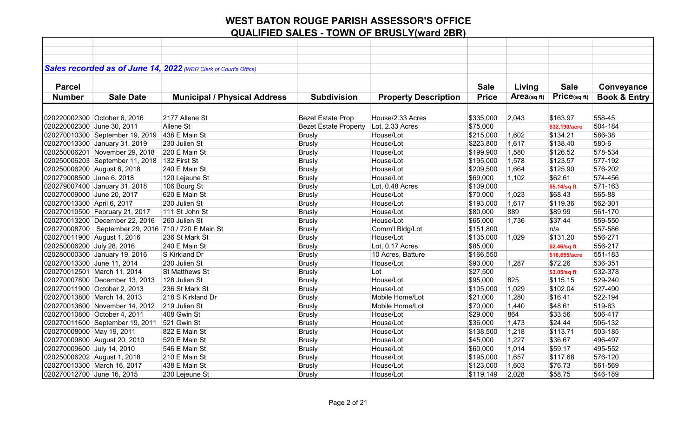|                             |                                                         | Sales recorded as of June 14, 2022 (WBR Clerk of Court's Office) |                              |                             |              |            |                   |                         |
|-----------------------------|---------------------------------------------------------|------------------------------------------------------------------|------------------------------|-----------------------------|--------------|------------|-------------------|-------------------------|
|                             |                                                         |                                                                  |                              |                             |              |            |                   |                         |
| <b>Parcel</b>               |                                                         |                                                                  |                              |                             | <b>Sale</b>  | Living     | <b>Sale</b>       | Conveyance              |
| <b>Number</b>               | <b>Sale Date</b>                                        | <b>Municipal / Physical Address</b>                              | <b>Subdivision</b>           | <b>Property Description</b> | <b>Price</b> | Area(sqft) | $Price_{(sq ft)}$ | <b>Book &amp; Entry</b> |
|                             |                                                         |                                                                  |                              |                             |              |            |                   |                         |
|                             | 020220002300 October 6, 2016                            | 2177 Allene St                                                   | <b>Bezet Estate Prop</b>     | House/2.33 Acres            | \$335,000    | 2,043      | \$163.97          | 558-45                  |
| 020220002300 June 30, 2011  |                                                         | Allene St                                                        | <b>Bezet Estate Property</b> | Lot, 2.33 Acres             | \$75,000     |            | \$32,190/acre     | 504-184                 |
|                             | 020270010300 September 19, 2019                         | 438 E Main St                                                    | <b>Brusly</b>                | House/Lot                   | \$215,000    | 1,602      | \$134.21          | 586-38                  |
|                             | 020270013300 January 31, 2019                           | 230 Julien St                                                    | Brusly                       | House/Lot                   | \$223,800    | 1,617      | \$138.40          | 580-6                   |
|                             | 020250006201 November 29, 2018                          | 220 E Main St                                                    | Brusly                       | House/Lot                   | \$199,900    | 1,580      | \$126.52          | 578-534                 |
|                             | 020250006203 September 11, 2018                         | 132 First St                                                     | <b>Brusly</b>                | House/Lot                   | \$195,000    | 1,578      | \$123.57          | 577-192                 |
| 020250006200 August 6, 2018 |                                                         | 240 E Main St                                                    | <b>Brusly</b>                | House/Lot                   | \$209,500    | 1,664      | \$125.90          | 576-202                 |
| 020279008500 June 6, 2018   |                                                         | 120 Lejeune St                                                   | <b>Brusly</b>                | House/Lot                   | \$69,000     | 1,102      | \$62.61           | 574-456                 |
|                             | 020279007400 January 31, 2018                           | 106 Bourg St                                                     | <b>Brusly</b>                | Lot, 0.48 Acres             | \$109,000    |            | \$5.14/sq ft      | 571-163                 |
| 020270009000 June 20, 2017  |                                                         | 620 E Main St                                                    | <b>Brusly</b>                | House/Lot                   | \$70,000     | 1,023      | \$68.43           | 565-88                  |
| 020270013300 April 6, 2017  |                                                         | 230 Julien St                                                    | Brusly                       | House/Lot                   | \$193,000    | 1,617      | \$119.36          | 562-301                 |
|                             | 020270010500 February 21, 2017                          | 111 St John St                                                   | <b>Brusly</b>                | House/Lot                   | \$80,000     | 889        | \$89.99           | 561-170                 |
|                             | 020270013200 December 22, 2016                          | 260 Julien St                                                    | <b>Brusly</b>                | House/Lot                   | \$65,000     | 1,736      | \$37.44           | 559-550                 |
|                             | 020270008700   September 29, 2016   710 / 720 E Main St |                                                                  | <b>Brusly</b>                | Comm'l Bldg/Lot             | \$151,800    |            | n/a               | 557-586                 |
| 020270011900 August 1, 2016 |                                                         | 236 St Mark St                                                   | <b>Brusly</b>                | House/Lot                   | \$135,000    | 1,029      | \$131.20          | 556-271                 |
| 020250006200 July 28, 2016  |                                                         | 240 E Main St                                                    | <b>Brusly</b>                | Lot, 0.17 Acres             | \$85,000     |            | \$2.46/sq ft      | 556-217                 |
|                             | 020280000300 January 19, 2016                           | S Kirkland Dr                                                    | <b>Brusly</b>                | 10 Acres, Batture           | \$166,550    |            | \$16,655/acre     | 551-183                 |
| 020270013300 June 11, 2014  |                                                         | 230 Julien St                                                    | <b>Brusly</b>                | House/Lot                   | \$93,000     | 1,287      | \$72.26           | 536-351                 |
|                             | 020270012501 March 11, 2014                             | <b>St Matthews St</b>                                            | <b>Brusly</b>                | Lot                         | \$27,500     |            | \$3.05/sq ft      | 532-378                 |
|                             | 020270007800 December 13, 2013                          | 128 Julien St                                                    | <b>Brusly</b>                | House/Lot                   | \$95,000     | 825        | \$115.15          | 529-240                 |
|                             | 020270011900 October 2, 2013                            | 236 St Mark St                                                   | Brusly                       | House/Lot                   | \$105,000    | 1,029      | \$102.04          | 527-490                 |
|                             | 020270013800 March 14, 2013                             | 218 S Kirkland Dr                                                | <b>Brusly</b>                | Mobile Home/Lot             | \$21,000     | 1,280      | \$16.41           | 522-194                 |
|                             | 020270013600 November 14, 2012                          | 219 Julien St                                                    | <b>Brusly</b>                | Mobile Home/Lot             | \$70,000     | 1,440      | \$48.61           | 519-63                  |
|                             | 020270010800 October 4, 2011                            | 408 Gwin St                                                      | <b>Brusly</b>                | House/Lot                   | \$29,000     | 864        | \$33.56           | 506-417                 |
|                             | 020270011600 September 19, 2011                         | 521 Gwin St                                                      | <b>Brusly</b>                | House/Lot                   | \$36,000     | 1,473      | \$24.44           | 506-132                 |
| 020270008000 May 19, 2011   |                                                         | 822 E Main St                                                    | <b>Brusly</b>                | House/Lot                   | \$138,500    | 1,218      | \$113.71          | 503-185                 |
|                             | 020270009800 August 20, 2010                            | 520 E Main St                                                    | <b>Brusly</b>                | House/Lot                   | \$45,000     | 1,227      | \$36.67           | 496-497                 |
| 020270009600 July 14, 2010  |                                                         | 546 E Main St                                                    | <b>Brusly</b>                | House/Lot                   | \$60,000     | 1,014      | \$59.17           | 495-552                 |
| 020250006202 August 1, 2018 |                                                         | 210 E Main St                                                    | Brusly                       | House/Lot                   | \$195,000    | 1,657      | \$117.68          | 576-120                 |
|                             | 020270010300 March 16, 2017                             | 438 E Main St                                                    | <b>Brusly</b>                | House/Lot                   | \$123,000    | 1,603      | \$76.73           | 561-569                 |
| 020270012700 June 16, 2015  |                                                         | 230 Lejeune St                                                   | Brusly                       | House/Lot                   | \$119,149    | 2,028      | \$58.75           | 546-189                 |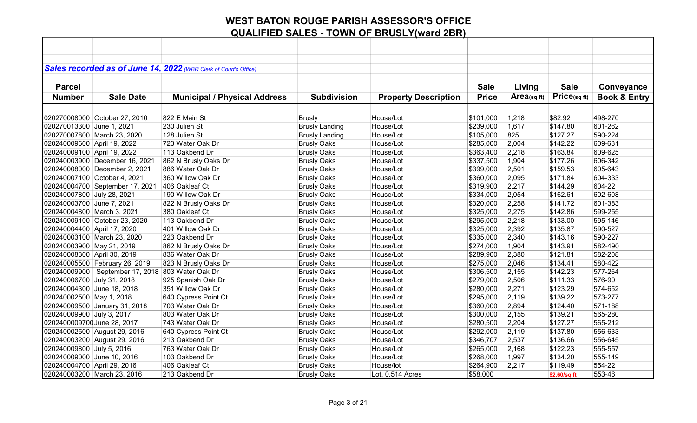|                               |                                                    | Sales recorded as of June 14, 2022 (WBR Clerk of Court's Office) |                       |                             |              |            |              |                         |
|-------------------------------|----------------------------------------------------|------------------------------------------------------------------|-----------------------|-----------------------------|--------------|------------|--------------|-------------------------|
|                               |                                                    |                                                                  |                       |                             |              |            |              |                         |
| <b>Parcel</b>                 |                                                    |                                                                  |                       |                             | <b>Sale</b>  | Living     | <b>Sale</b>  | Conveyance              |
| <b>Number</b>                 | <b>Sale Date</b>                                   | <b>Municipal / Physical Address</b>                              | <b>Subdivision</b>    | <b>Property Description</b> | <b>Price</b> | Area(sqft) | Price(sqft)  | <b>Book &amp; Entry</b> |
|                               |                                                    |                                                                  |                       |                             |              |            |              |                         |
|                               |                                                    |                                                                  |                       |                             |              |            |              |                         |
| 020270008000 October 27, 2010 |                                                    | 822 E Main St                                                    | <b>Brusly</b>         | House/Lot                   | \$101,000    | 1,218      | \$82.92      | 498-270                 |
| 020270013300 June 1, 2021     |                                                    | 230 Julien St                                                    | <b>Brusly Landing</b> | House/Lot                   | \$239,000    | 1,617      | \$147.80     | 601-262                 |
| 020270007800 March 23, 2020   |                                                    | 128 Julien St                                                    | <b>Brusly Landing</b> | House/Lot                   | \$105,000    | 825        | \$127.27     | 590-224                 |
| 020240009600 April 19, 2022   |                                                    | 723 Water Oak Dr                                                 | <b>Brusly Oaks</b>    | House/Lot                   | \$285,000    | 2,004      | \$142.22     | 609-631                 |
| 020240009100 April 19, 2022   |                                                    | 113 Oakbend Dr                                                   | <b>Brusly Oaks</b>    | House/Lot                   | \$363,400    | 2,218      | \$163.84     | 609-625                 |
|                               | 020240003900 December 16, 2021                     | 862 N Brusly Oaks Dr                                             | <b>Brusly Oaks</b>    | House/Lot                   | \$337,500    | 1,904      | \$177.26     | 606-342                 |
|                               | 020240008000 December 2, 2021                      | 886 Water Oak Dr                                                 | <b>Brusly Oaks</b>    | House/Lot                   | \$399,000    | 2,501      | \$159.53     | 605-643                 |
| 020240007100 October 4, 2021  |                                                    | 360 Willow Oak Dr                                                | <b>Brusly Oaks</b>    | House/Lot                   | \$360,000    | 2,095      | \$171.84     | 604-333                 |
|                               | 020240004700 September 17, 2021                    | 406 Oakleaf Ct                                                   | <b>Brusly Oaks</b>    | House/Lot                   | \$319,900    | 2,217      | \$144.29     | 604-22                  |
| 020240007800 July 28, 2021    |                                                    | 190 Willow Oak Dr                                                | <b>Brusly Oaks</b>    | House/Lot                   | \$334,000    | 2,054      | \$162.61     | 602-608                 |
| 020240003700 June 7, 2021     |                                                    | 822 N Brusly Oaks Dr                                             | <b>Brusly Oaks</b>    | House/Lot                   | \$320,000    | 2,258      | \$141.72     | 601-383                 |
| 020240004800 March 3, 2021    |                                                    | 380 Oakleaf Ct                                                   | <b>Brusly Oaks</b>    | House/Lot                   | \$325,000    | 2,275      | \$142.86     | 599-255                 |
| 020240009100 October 23, 2020 |                                                    | 113 Oakbend Dr                                                   | <b>Brusly Oaks</b>    | House/Lot                   | \$295,000    | 2,218      | \$133.00     | 595-146                 |
| 020240004400 April 17, 2020   |                                                    | 401 Willow Oak Dr                                                | <b>Brusly Oaks</b>    | House/Lot                   | \$325,000    | 2,392      | \$135.87     | 590-527                 |
| 020240003100 March 23, 2020   |                                                    | 223 Oakbend Dr                                                   | <b>Brusly Oaks</b>    | House/Lot                   | \$335,000    | 2,340      | \$143.16     | 590-227                 |
| 020240003900 May 21, 2019     |                                                    | 862 N Brusly Oaks Dr                                             | <b>Brusly Oaks</b>    | House/Lot                   | \$274,000    | 1,904      | \$143.91     | 582-490                 |
| 020240008300 April 30, 2019   |                                                    | 836 Water Oak Dr                                                 | <b>Brusly Oaks</b>    | House/Lot                   | \$289,900    | 2,380      | \$121.81     | 582-208                 |
|                               | 020240005500 February 26, 2019                     | 823 N Brusly Oaks Dr                                             | <b>Brusly Oaks</b>    | House/Lot                   | \$275,000    | 2,046      | \$134.41     | 580-422                 |
|                               | 020240009900   September 17, 2018 803 Water Oak Dr |                                                                  | <b>Brusly Oaks</b>    | House/Lot                   | \$306,500    | 2,155      | \$142.23     | 577-264                 |
| 020240006700 July 31, 2018    |                                                    | 925 Spanish Oak Dr                                               | <b>Brusly Oaks</b>    | House/Lot                   | \$279,000    | 2,506      | \$111.33     | 576-90                  |
| 020240004300 June 18, 2018    |                                                    | 351 Willow Oak Dr                                                | <b>Brusly Oaks</b>    | House/Lot                   | \$280,000    | 2,271      | \$123.29     | 574-652                 |
| 020240002500 May 1, 2018      |                                                    | 640 Cypress Point Ct                                             | <b>Brusly Oaks</b>    | House/Lot                   | \$295,000    | 2,119      | \$139.22     | 573-277                 |
| 020240009500 January 31, 2018 |                                                    | 703 Water Oak Dr                                                 | <b>Brusly Oaks</b>    | House/Lot                   | \$360,000    | 2,894      | \$124.40     | 571-188                 |
| 020240009900 July 3, 2017     |                                                    | 803 Water Oak Dr                                                 | <b>Brusly Oaks</b>    | House/Lot                   | \$300,000    | 2,155      | \$139.21     | 565-280                 |
| 0202400009700 June 28, 2017   |                                                    | 743 Water Oak Dr                                                 | <b>Brusly Oaks</b>    | House/Lot                   | \$280,500    | 2,204      | \$127.27     | 565-212                 |
| 020240002500 August 29, 2016  |                                                    | 640 Cypress Point Ct                                             | <b>Brusly Oaks</b>    | House/Lot                   | \$292,000    | 2,119      | \$137.80     | 556-633                 |
| 020240003200 August 29, 2016  |                                                    | 213 Oakbend Dr                                                   | <b>Brusly Oaks</b>    | House/Lot                   | \$346,707    | 2,537      | \$136.66     | 556-645                 |
| 020240009800 July 5, 2016     |                                                    | 763 Water Oak Dr                                                 | <b>Brusly Oaks</b>    | House/Lot                   | \$265,000    | 2,168      | \$122.23     | 555-557                 |
| 020240009000 June 10, 2016    |                                                    | 103 Oakbend Dr                                                   | <b>Brusly Oaks</b>    | House/Lot                   | \$268,000    | 1,997      | \$134.20     | 555-149                 |
| 020240004700 April 29, 2016   |                                                    | 406 Oakleaf Ct                                                   | <b>Brusly Oaks</b>    | House/lot                   | \$264,900    | 2,217      | \$119.49     | 554-22                  |
| 020240003200 March 23, 2016   |                                                    | 213 Oakbend Dr                                                   | <b>Brusly Oaks</b>    | Lot, 0.514 Acres            | \$58,000     |            | \$2.60/sq ft | 553-46                  |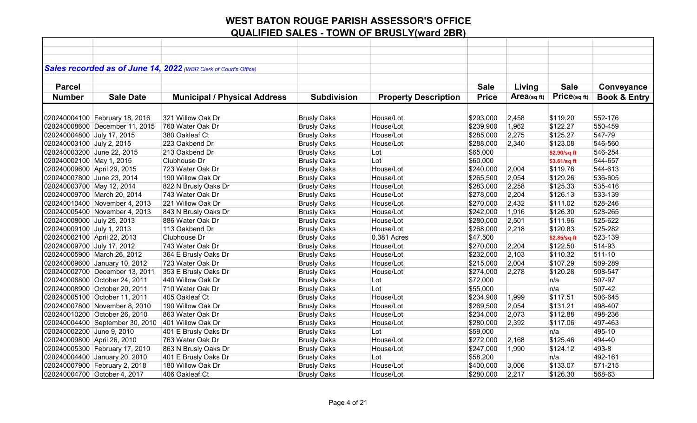|                              |                                 | Sales recorded as of June 14, 2022 (WBR Clerk of Court's Office) |                    |                             |              |            |              |                         |
|------------------------------|---------------------------------|------------------------------------------------------------------|--------------------|-----------------------------|--------------|------------|--------------|-------------------------|
| <b>Parcel</b>                |                                 |                                                                  |                    |                             | <b>Sale</b>  | Living     | <b>Sale</b>  | Conveyance              |
| <b>Number</b>                | <b>Sale Date</b>                |                                                                  | <b>Subdivision</b> | <b>Property Description</b> | <b>Price</b> | Area(sqft) | Price(sqft)  | <b>Book &amp; Entry</b> |
|                              |                                 | <b>Municipal / Physical Address</b>                              |                    |                             |              |            |              |                         |
|                              |                                 |                                                                  |                    |                             |              |            |              |                         |
|                              | 020240004100 February 18, 2016  | 321 Willow Oak Dr                                                | <b>Brusly Oaks</b> | House/Lot                   | \$293,000    | 2,458      | \$119.20     | 552-176                 |
|                              | 020240008600 December 11, 2015  | 760 Water Oak Dr                                                 | <b>Brusly Oaks</b> | House/Lot                   | \$239,900    | 1,962      | \$122.27     | 550-459                 |
| 020240004800 July 17, 2015   |                                 | 380 Oakleaf Ct                                                   | <b>Brusly Oaks</b> | House/Lot                   | \$285,000    | 2,275      | \$125.27     | 547-79                  |
| 020240003100 July 2, 2015    |                                 | 223 Oakbend Dr                                                   | <b>Brusly Oaks</b> | House/Lot                   | \$288,000    | 2,340      | \$123.08     | 546-560                 |
| 020240003200 June 22, 2015   |                                 | 213 Oakbend Dr                                                   | <b>Brusly Oaks</b> | Lot                         | \$65,000     |            | \$2.90/sq ft | 546-254                 |
| 020240002100 May 1, 2015     |                                 | Clubhouse Dr                                                     | <b>Brusly Oaks</b> | Lot                         | \$60,000     |            | \$3.61/sq ft | 544-657                 |
| 020240009600 April 29, 2015  |                                 | 723 Water Oak Dr                                                 | <b>Brusly Oaks</b> | House/Lot                   | \$240,000    | 2,004      | \$119.76     | 544-613                 |
| 020240007800 June 23, 2014   |                                 | 190 Willow Oak Dr                                                | <b>Brusly Oaks</b> | House/Lot                   | \$265,500    | 2,054      | \$129.26     | 536-605                 |
| 020240003700 May 12, 2014    |                                 | 822 N Brusly Oaks Dr                                             | <b>Brusly Oaks</b> | House/Lot                   | \$283,000    | 2,258      | \$125.33     | 535-416                 |
| 020240009700 March 20, 2014  |                                 | 743 Water Oak Dr                                                 | <b>Brusly Oaks</b> | House/Lot                   | \$278,000    | 2,204      | \$126.13     | 533-139                 |
|                              | 020240010400 November 4, 2013   | 221 Willow Oak Dr                                                | <b>Brusly Oaks</b> | House/Lot                   | \$270,000    | 2,432      | \$111.02     | 528-246                 |
|                              | 020240005400 November 4, 2013   | 843 N Brusly Oaks Dr                                             | <b>Brusly Oaks</b> | House/Lot                   | \$242,000    | 1,916      | \$126.30     | 528-265                 |
| 020240008000 July 25, 2013   |                                 | 886 Water Oak Dr                                                 | <b>Brusly Oaks</b> | House/Lot                   | \$280,000    | 2,501      | \$111.96     | 525-622                 |
| 020240009100 July 1, 2013    |                                 | 113 Oakbend Dr                                                   | <b>Brusly Oaks</b> | House/Lot                   | \$268,000    | 2,218      | \$120.83     | 525-282                 |
| 020240002100 April 22, 2013  |                                 | Clubhouse Dr                                                     | <b>Brusly Oaks</b> | 0.381 Acres                 | \$47,500     |            | \$2.85/sq ft | 523-139                 |
| 020240009700 July 17, 2012   |                                 | 743 Water Oak Dr                                                 | <b>Brusly Oaks</b> | House/Lot                   | \$270,000    | 2,204      | \$122.50     | 514-93                  |
| 020240005900 March 26, 2012  |                                 | 364 E Brusly Oaks Dr                                             | <b>Brusly Oaks</b> | House/Lot                   | \$232,000    | 2,103      | \$110.32     | $511 - 10$              |
|                              | 020240009600 January 10, 2012   | 723 Water Oak Dr                                                 | <b>Brusly Oaks</b> | House/Lot                   | \$215,000    | 2,004      | \$107.29     | 509-289                 |
|                              | 020240002700 December 13, 2011  | 353 E Brusly Oaks Dr                                             | <b>Brusly Oaks</b> | House/Lot                   | \$274,000    | 2,278      | \$120.28     | 508-547                 |
|                              | 020240006800 October 24, 2011   | 440 Willow Oak Dr                                                | <b>Brusly Oaks</b> | Lot                         | \$72,000     |            | n/a          | 507-97                  |
|                              | 020240008900 October 20, 2011   | 710 Water Oak Dr                                                 | <b>Brusly Oaks</b> | Lot                         | \$55,000     |            | n/a          | 507-42                  |
|                              | 020240005100 October 11, 2011   | 405 Oakleaf Ct                                                   | <b>Brusly Oaks</b> | House/Lot                   | \$234,900    | 1,999      | \$117.51     | 506-645                 |
|                              | 020240007800 November 8, 2010   | 190 Willow Oak Dr                                                | <b>Brusly Oaks</b> | House/Lot                   | \$269,500    | 2,054      | \$131.21     | 498-407                 |
|                              | 020240010200 October 26, 2010   | 863 Water Oak Dr                                                 | <b>Brusly Oaks</b> | House/Lot                   | \$234,000    | 2,073      | \$112.88     | 498-236                 |
|                              | 020240004400 September 30, 2010 | 401 Willow Oak Dr                                                | <b>Brusly Oaks</b> | House/Lot                   | \$280,000    | 2,392      | \$117.06     | 497-463                 |
| 020240002200 June 9, 2010    |                                 | 401 E Brusly Oaks Dr                                             | <b>Brusly Oaks</b> | Lot                         | \$59,000     |            | n/a          | 495-10                  |
| 020240009800 April 26, 2010  |                                 | 763 Water Oak Dr                                                 | <b>Brusly Oaks</b> | House/Lot                   | \$272,000    | 2,168      | \$125.46     | 494-40                  |
|                              | 020240005300 February 17, 2010  | 863 N Brusly Oaks Dr                                             | <b>Brusly Oaks</b> | House/Lot                   | \$247,000    | 1,990      | \$124.12     | 493-8                   |
|                              | 020240004400 January 20, 2010   | 401 E Brusly Oaks Dr                                             | <b>Brusly Oaks</b> | Lot                         | \$58,200     |            | n/a          | 492-161                 |
|                              | 020240007900 February 2, 2018   | 180 Willow Oak Dr                                                | <b>Brusly Oaks</b> | House/Lot                   | \$400,000    | 3,006      | \$133.07     | 571-215                 |
| 020240004700 October 4, 2017 |                                 | 406 Oakleaf Ct                                                   | <b>Brusly Oaks</b> | House/Lot                   | \$280,000    | 2,217      | \$126.30     | 568-63                  |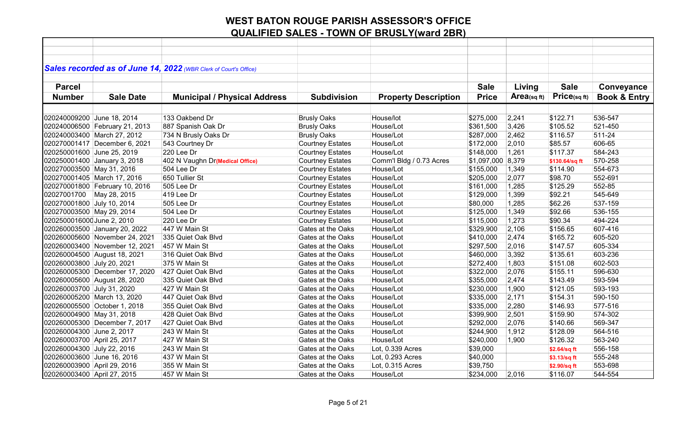|                             |                                | Sales recorded as of June 14, 2022 (WBR Clerk of Court's Office) |                          |                             |                   |            |                |                         |
|-----------------------------|--------------------------------|------------------------------------------------------------------|--------------------------|-----------------------------|-------------------|------------|----------------|-------------------------|
|                             |                                |                                                                  |                          |                             |                   |            |                |                         |
| <b>Parcel</b>               |                                |                                                                  |                          |                             | <b>Sale</b>       | Living     | <b>Sale</b>    | Conveyance              |
| <b>Number</b>               | <b>Sale Date</b>               | <b>Municipal / Physical Address</b>                              | <b>Subdivision</b>       | <b>Property Description</b> | <b>Price</b>      | Area(sqft) | Price(sqft)    | <b>Book &amp; Entry</b> |
|                             |                                |                                                                  |                          |                             |                   |            |                |                         |
| 020240009200 June 18, 2014  |                                | 133 Oakbend Dr                                                   | <b>Brusly Oaks</b>       | House/lot                   | \$275,000         | 2,241      | \$122.71       | 536-547                 |
|                             | 020240006500 February 21, 2013 | 887 Spanish Oak Dr                                               | <b>Brusly Oaks</b>       | House/Lot                   | \$361,500         | 3,426      | \$105.52       | 521-450                 |
|                             | 020240003400 March 27, 2012    | 734 N Brusly Oaks Dr                                             | <b>Brusly Oaks</b>       | House/Lot                   | \$287,000         | 2,462      | \$116.57       | 511-24                  |
|                             | 020270001417 December 6, 2021  | 543 Courtney Dr                                                  | <b>Courtney Estates</b>  | House/Lot                   | \$172,000         | 2,010      | \$85.57        | 606-65                  |
| 020250001600 June 25, 2019  |                                | 220 Lee Dr                                                       | <b>Courtney Estates</b>  | House/Lot                   | \$148,000         | 1,261      | \$117.37       | 584-243                 |
|                             | 020250001400 January 3, 2018   | 402 N Vaughn Dr(Medical Office)                                  | <b>Courtney Estates</b>  | Comm'l Bldg / 0.73 Acres    | \$1,097,000 8,379 |            | \$130.64/sq ft | 570-258                 |
| 020270003500 May 31, 2016   |                                | 504 Lee Dr                                                       | <b>Courtney Estates</b>  | House/Lot                   | \$155,000         | 1,349      | \$114.90       | 554-673                 |
|                             | 020270001405 March 17, 2016    | 650 Tullier St                                                   | <b>Courtney Estates</b>  | House/Lot                   | \$205,000         | 2,077      | \$98.70        | 552-691                 |
|                             | 020270001800 February 10, 2016 | 505 Lee Dr                                                       | <b>Courtney Estates</b>  | House/Lot                   | \$161,000         | 1,285      | \$125.29       | 552-85                  |
| 02027001700 May 28, 2015    |                                | 419 Lee Dr                                                       | <b>Courtney Estates</b>  | House/Lot                   | \$129,000         | 1,399      | \$92.21        | 545-649                 |
| 020270001800 July 10, 2014  |                                | 505 Lee Dr                                                       | <b>Courtney Estates</b>  | House/Lot                   | \$80,000          | 1,285      | \$62.26        | 537-159                 |
| 020270003500 May 29, 2014   |                                | 504 Lee Dr                                                       | <b>Courtney Estates</b>  | House/Lot                   | \$125,000         | 1,349      | \$92.66        | 536-155                 |
| 0202500016000 June 2, 2010  |                                | 220 Lee Dr                                                       | <b>Courtney Estates</b>  | House/Lot                   | \$115,000         | 1,273      | \$90.34        | 494-224                 |
|                             | 020260003500 January 20, 2022  | 447 W Main St                                                    | Gates at the Oaks        | House/Lot                   | \$329,900         | 2,106      | \$156.65       | 607-416                 |
|                             | 020260005600 November 24, 2021 | 335 Quiet Oak Blvd                                               | Gates at the Oaks        | House/Lot                   | \$410,000         | 2,474      | \$165.72       | 605-520                 |
|                             | 020260003400 November 12, 2021 | 457 W Main St                                                    | Gates at the Oaks        | House/Lot                   | \$297,500         | 2,016      | \$147.57       | 605-334                 |
|                             | 020260004500 August 18, 2021   | 316 Quiet Oak Blvd                                               | Gates at the Oaks        | House/Lot                   | \$460,000         | 3,392      | \$135.61       | 603-236                 |
| 020260003800 July 20, 2021  |                                | 375 W Main St                                                    | Gates at the Oaks        | House/Lot                   | \$272,400         | 1,803      | \$151.08       | 602-503                 |
|                             | 020260005300 December 17, 2020 | 427 Quiet Oak Blvd                                               | Gates at the Oaks        | House/Lot                   | \$322,000         | 2,076      | \$155.11       | 596-630                 |
|                             | 020260005600 August 28, 2020   | 335 Quiet Oak Blvd                                               | Gates at the Oaks        | House/Lot                   | \$355,000         | 2,474      | \$143.49       | 593-594                 |
| 020260003700 July 31, 2020  |                                | 427 W Main St                                                    | <b>Gates at the Oaks</b> | House/Lot                   | \$230,000         | 1,900      | \$121.05       | 593-193                 |
|                             | 020260005200 March 13, 2020    | 447 Quiet Oak Blvd                                               | Gates at the Oaks        | House/Lot                   | \$335,000         | 2,171      | \$154.31       | 590-150                 |
|                             | 020260005500 October 1, 2018   | 355 Quiet Oak Blvd                                               | Gates at the Oaks        | House/Lot                   | \$335,000         | 2,280      | \$146.93       | 577-516                 |
| 020260004900 May 31, 2018   |                                | 428 Quiet Oak Blvd                                               | Gates at the Oaks        | House/Lot                   | \$399,900         | 2,501      | \$159.90       | 574-302                 |
|                             | 020260005300 December 7, 2017  | 427 Quiet Oak Blvd                                               | Gates at the Oaks        | House/Lot                   | \$292,000         | 2,076      | \$140.66       | 569-347                 |
| 020260004300 June 2, 2017   |                                | 243 W Main St                                                    | Gates at the Oaks        | House/Lot                   | \$244,900         | 1,912      | \$128.09       | 564-516                 |
| 020260003700 April 25, 2017 |                                | 427 W Main St                                                    | Gates at the Oaks        | House/Lot                   | \$240,000         | 1,900      | \$126.32       | 563-240                 |
| 020260004300 July 22, 2016  |                                | 243 W Main St                                                    | Gates at the Oaks        | Lot, 0.339 Acres            | \$39,000          |            | \$2.64/sq ft   | 556-158                 |
| 020260003600 June 16, 2016  |                                | 437 W Main St                                                    | Gates at the Oaks        | Lot, 0.293 Acres            | \$40,000          |            | \$3.13/sq ft   | 555-248                 |
| 020260003900 April 29, 2016 |                                | 355 W Main St                                                    | Gates at the Oaks        | Lot, 0.315 Acres            | \$39,750          |            | \$2.90/sq ft   | 553-698                 |
| 020260003400 April 27, 2015 |                                | 457 W Main St                                                    | Gates at the Oaks        | House/Lot                   | \$234,000         | 2,016      | \$116.07       | 544-554                 |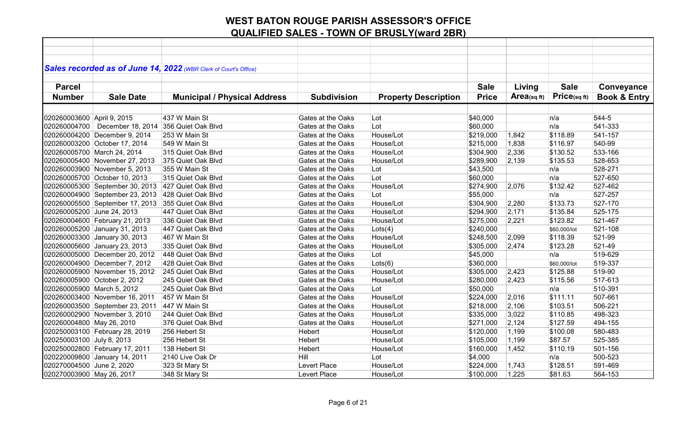|                             |                                 | Sales recorded as of June 14, 2022 (WBR Clerk of Court's Office) |                    |                             |              |            |                 |                         |
|-----------------------------|---------------------------------|------------------------------------------------------------------|--------------------|-----------------------------|--------------|------------|-----------------|-------------------------|
|                             |                                 |                                                                  |                    |                             |              |            |                 |                         |
| <b>Parcel</b>               |                                 |                                                                  |                    |                             | <b>Sale</b>  | Living     | <b>Sale</b>     | Conveyance              |
| <b>Number</b>               | <b>Sale Date</b>                | <b>Municipal / Physical Address</b>                              | <b>Subdivision</b> | <b>Property Description</b> | <b>Price</b> | Area(sqft) | $Price$ (sq ft) | <b>Book &amp; Entry</b> |
|                             |                                 |                                                                  |                    |                             |              |            |                 |                         |
| 020260003600 April 9, 2015  |                                 | 437 W Main St                                                    | Gates at the Oaks  | Lot                         | \$40,000     |            | n/a             | 544-5                   |
| 020260004700                | December 18, 2014               | 356 Quiet Oak Blvd                                               | Gates at the Oaks  | Lot                         | \$60,000     |            | n/a             | 541-333                 |
|                             | 020260004200 December 9, 2014   | 253 W Main St                                                    | Gates at the Oaks  | House/Lot                   | \$219,000    | 1,842      | \$118.89        | 541-157                 |
|                             | 020260003200 October 17, 2014   | 549 W Main St                                                    | Gates at the Oaks  | House/Lot                   | \$215,000    | 1,838      | \$116.97        | 540-99                  |
| 020260005700 March 24, 2014 |                                 | 315 Quiet Oak Blvd                                               | Gates at the Oaks  | House/Lot                   | \$304,900    | 2,336      | \$130.52        | 533-166                 |
|                             | 020260005400 November 27, 2013  | 375 Quiet Oak Blvd                                               | Gates at the Oaks  | House/Lot                   | \$289,900    | 2,139      | \$135.53        | 528-653                 |
|                             | 020260003900 November 5, 2013   | 355 W Main St                                                    | Gates at the Oaks  | Lot                         | \$43,500     |            | n/a             | 528-271                 |
|                             | 020260005700 October 10, 2013   | 315 Quiet Oak Blvd                                               | Gates at the Oaks  | Lot                         | \$60,000     |            | n/a             | 527-650                 |
|                             | 020260005300 September 30, 2013 | 427 Quiet Oak Blvd                                               | Gates at the Oaks  | House/Lot                   | \$274,900    | 2,076      | \$132.42        | 527-462                 |
|                             | 020260004900 September 23, 2013 | 428 Quiet Oak Blvd                                               | Gates at the Oaks  | Lot                         | \$55,000     |            | n/a             | 527-257                 |
|                             | 020260005500 September 17, 2013 | 355 Quiet Oak Blvd                                               | Gates at the Oaks  | House/Lot                   | \$304,900    | 2,280      | \$133.73        | 527-170                 |
| 020260005200 June 24, 2013  |                                 | 447 Quiet Oak Blvd                                               | Gates at the Oaks  | House/Lot                   | \$294,900    | 2,171      | \$135.84        | 525-175                 |
|                             | 020260004600 February 21, 2013  | 336 Quiet Oak Blvd                                               | Gates at the Oaks  | House/Lot                   | \$275,000    | 2,221      | \$123.82        | 521-467                 |
|                             | 020260005200 January 31, 2013   | 447 Quiet Oak Blvd                                               | Gates at the Oaks  | Lots(4)                     | \$240,000    |            | \$60,000/lot    | 521-108                 |
|                             | 020260003300 January 30, 2013   | 467 W Main St                                                    | Gates at the Oaks  | House/Lot                   | \$248,500    | 2,099      | \$118.39        | 521-99                  |
|                             | 020260005600 January 23, 2013   | 335 Quiet Oak Blvd                                               | Gates at the Oaks  | House/Lot                   | \$305,000    | 2,474      | \$123.28        | 521-49                  |
|                             | 020260005000 December 20, 2012  | 448 Quiet Oak Blvd                                               | Gates at the Oaks  | Lot                         | \$45,000     |            | n/a             | 519-629                 |
|                             | 020260004900 December 7, 2012   | 428 Quiet Oak Blvd                                               | Gates at the Oaks  | Lots(6)                     | \$360,000    |            | \$60,000/lot    | 519-337                 |
|                             | 020260005900 November 15, 2012  | 245 Quiet Oak Blvd                                               | Gates at the Oaks  | House/Lot                   | \$305,000    | 2,423      | \$125.88        | 519-90                  |
|                             | 020260005900 October 2, 2012    | 245 Quiet Oak Blvd                                               | Gates at the Oaks  | House/Lot                   | \$280,000    | 2,423      | \$115.56        | 517-613                 |
| 020260005900 March 5, 2012  |                                 | 245 Quiet Oak Blvd                                               | Gates at the Oaks  | Lot                         | \$50,000     |            | n/a             | 510-391                 |
|                             | 020260003400 November 16, 2011  | 457 W Main St                                                    | Gates at the Oaks  | House/Lot                   | \$224,000    | 2,016      | \$111.11        | 507-661                 |
|                             | 020260003500 September 23, 2011 | 447 W Main St                                                    | Gates at the Oaks  | House/Lot                   | \$218,000    | 2,106      | \$103.51        | 506-221                 |
|                             | 020260002900 November 3, 2010   | 244 Quiet Oak Blvd                                               | Gates at the Oaks  | House/Lot                   | \$335,000    | 3,022      | \$110.85        | 498-323                 |
| 020260004800 May 26, 2010   |                                 | 376 Quiet Oak Blvd                                               | Gates at the Oaks  | House/Lot                   | \$271,000    | 2,124      | \$127.59        | 494-155                 |
|                             | 020250003100 February 28, 2019  | 256 Hebert St                                                    | Hebert             | House/Lot                   | \$120,000    | 1,199      | \$100.08        | 580-483                 |
| 020250003100 July 8, 2013   |                                 | 256 Hebert St                                                    | Hebert             | House/Lot                   | \$105,000    | 1,199      | \$87.57         | 525-385                 |
|                             | 020250002800 February 17, 2011  | 138 Hebert St                                                    | Hebert             | House/Lot                   | \$160,000    | 1,452      | \$110.19        | 501-156                 |
|                             | 020220009800 January 14, 2011   | 2140 Live Oak Dr                                                 | Hill               | Lot                         | \$4,000      |            | n/a             | 500-523                 |
| 020270004500 June 2, 2020   |                                 | 323 St Mary St                                                   | Levert Place       | House/Lot                   | \$224,000    | 1,743      | \$128.51        | 591-469                 |
| 020270003900 May 26, 2017   |                                 | 348 St Mary St                                                   | Levert Place       | House/Lot                   | \$100,000    | 1,225      | \$81.63         | 564-153                 |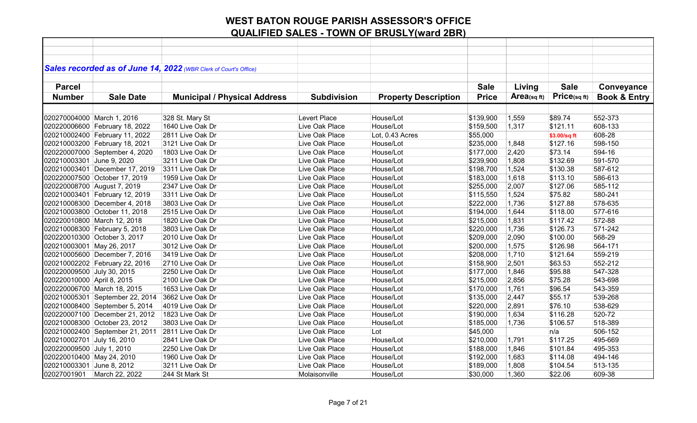|                            |                                 | Sales recorded as of June 14, 2022 (WBR Clerk of Court's Office) |                    |                             |              |            |              |                         |
|----------------------------|---------------------------------|------------------------------------------------------------------|--------------------|-----------------------------|--------------|------------|--------------|-------------------------|
|                            |                                 |                                                                  |                    |                             |              |            |              |                         |
| <b>Parcel</b>              |                                 |                                                                  |                    |                             | <b>Sale</b>  | Living     | <b>Sale</b>  | Conveyance              |
| <b>Number</b>              | <b>Sale Date</b>                | <b>Municipal / Physical Address</b>                              | <b>Subdivision</b> | <b>Property Description</b> | <b>Price</b> | Area(sqft) | Price(sqft)  | <b>Book &amp; Entry</b> |
|                            |                                 |                                                                  |                    |                             |              |            |              |                         |
| 020270004000 March 1, 2016 |                                 | 328 St. Mary St                                                  | Levert Place       | House/Lot                   | \$139,900    | 1,559      | \$89.74      | 552-373                 |
|                            | 020220006600 February 18, 2022  | 1640 Live Oak Dr                                                 | Live Oak Place     | House/Lot                   | \$159,500    | 1,317      | \$121.11     | 608-133                 |
|                            | 020210002400 February 11, 2022  | 2811 Live Oak Dr                                                 | Live Oak Place     | Lot, 0.43 Acres             | \$55,000     |            | \$3.00/sq ft | 608-28                  |
|                            | 020210003200 February 18, 2021  | 3121 Live Oak Dr                                                 | Live Oak Place     | House/Lot                   | \$235,000    | 1,848      | \$127.16     | 598-150                 |
|                            | 020220007000 September 4, 2020  | 1803 Live Oak Dr                                                 | Live Oak Place     | House/Lot                   | \$177,000    | 2,420      | \$73.14      | 594-16                  |
| 020210003301 June 9, 2020  |                                 | 3211 Live Oak Dr                                                 | Live Oak Place     | House/Lot                   | \$239,900    | 1,808      | \$132.69     | 591-570                 |
|                            | 020210003401 December 17, 2019  | 3311 Live Oak Dr                                                 | Live Oak Place     | House/Lot                   | \$198,700    | 1,524      | \$130.38     | 587-612                 |
|                            | 020220007500 October 17, 2019   | 1959 Live Oak Dr                                                 | Live Oak Place     | House/Lot                   | \$183,000    | 1,618      | \$113.10     | 586-613                 |
|                            | 020220008700 August 7, 2019     | 2347 Live Oak Dr                                                 | Live Oak Place     | House/Lot                   | \$255,000    | 2,007      | \$127.06     | 585-112                 |
|                            | 020210003401 February 12, 2019  | 3311 Live Oak Dr                                                 | Live Oak Place     | House/Lot                   | \$115,550    | 1,524      | \$75.82      | 580-241                 |
|                            | 020210008300 December 4, 2018   | 3803 Live Oak Dr                                                 | Live Oak Place     | House/Lot                   | \$222,000    | 1,736      | \$127.88     | 578-635                 |
|                            | 020210003800 October 11, 2018   | 2515 Live Oak Dr                                                 | Live Oak Place     | House/Lot                   | \$194,000    | 1,644      | \$118.00     | 577-616                 |
|                            | 020220010800 March 12, 2018     | 1820 Live Oak Dr                                                 | Live Oak Place     | House/Lot                   | \$215,000    | 1,831      | \$117.42     | 572-88                  |
|                            | 020210008300 February 5, 2018   | 3803 Live Oak Dr                                                 | Live Oak Place     | House/Lot                   | \$220,000    | 1,736      | \$126.73     | 571-242                 |
|                            | 020220010300 October 3, 2017    | 2010 Live Oak Dr                                                 | Live Oak Place     | House/Lot                   | \$209,000    | 2,090      | \$100.00     | 568-29                  |
| 020210003001 May 26, 2017  |                                 | 3012 Live Oak Dr                                                 | Live Oak Place     | House/Lot                   | \$200,000    | 1,575      | \$126.98     | 564-171                 |
|                            | 020210005600 December 7, 2016   | 3419 Live Oak Dr                                                 | Live Oak Place     | House/Lot                   | \$208,000    | 1,710      | \$121.64     | 559-219                 |
|                            | 020210002202 February 22, 2016  | 2710 Live Oak Dr                                                 | Live Oak Place     | House/Lot                   | \$158,900    | 2,501      | \$63.53      | 552-212                 |
| 020220009500 July 30, 2015 |                                 | 2250 Live Oak Dr                                                 | Live Oak Place     | House/Lot                   | \$177,000    | 1,846      | \$95.88      | 547-328                 |
| 020220010000 April 8, 2015 |                                 | 2100 Live Oak Dr                                                 | Live Oak Place     | House/Lot                   | \$215,000    | 2,856      | \$75.28      | 543-698                 |
|                            | 020220006700 March 18, 2015     | 1653 Live Oak Dr                                                 | Live Oak Place     | House/Lot                   | \$170,000    | 1,761      | \$96.54      | 543-359                 |
|                            | 020210005301 September 22, 2014 | 3662 Live Oak Dr                                                 | Live Oak Place     | House/Lot                   | \$135,000    | 2,447      | \$55.17      | 539-268                 |
|                            | 020210008400 September 5, 2014  | 4019 Live Oak Dr                                                 | Live Oak Place     | House/Lot                   | \$220,000    | 2,891      | \$76.10      | 538-629                 |
|                            | 020220007100 December 21, 2012  | 1823 Live Oak Dr                                                 | Live Oak Place     | House/Lot                   | \$190,000    | 1,634      | \$116.28     | 520-72                  |
|                            | 020210008300 October 23, 2012   | 3803 Live Oak Dr                                                 | Live Oak Place     | House/Lot                   | \$185,000    | 1,736      | \$106.57     | 518-389                 |
|                            | 020210002400 September 21, 2011 | 2811 Live Oak Dr                                                 | Live Oak Place     | Lot                         | \$45,000     |            | n/a          | 506-152                 |
| 020210002701 July 16, 2010 |                                 | 2841 Live Oak Dr                                                 | Live Oak Place     | House/Lot                   | \$210,000    | 1,791      | \$117.25     | 495-669                 |
| 020220009500 July 1, 2010  |                                 | 2250 Live Oak Dr                                                 | Live Oak Place     | House/Lot                   | \$188,000    | 1,846      | \$101.84     | 495-353                 |
| 020220010400 May 24, 2010  |                                 | 1960 Live Oak Dr                                                 | Live Oak Place     | House/Lot                   | \$192,000    | 1,683      | \$114.08     | 494-146                 |
| 020210003301 June 8, 2012  |                                 | 3211 Live Oak Dr                                                 | Live Oak Place     | House/Lot                   | \$189,000    | 1,808      | \$104.54     | 513-135                 |
| 02027001901                | March 22, 2022                  | 244 St Mark St                                                   | Molaisonville      | House/Lot                   | \$30,000     | 1,360      | \$22.06      | 609-38                  |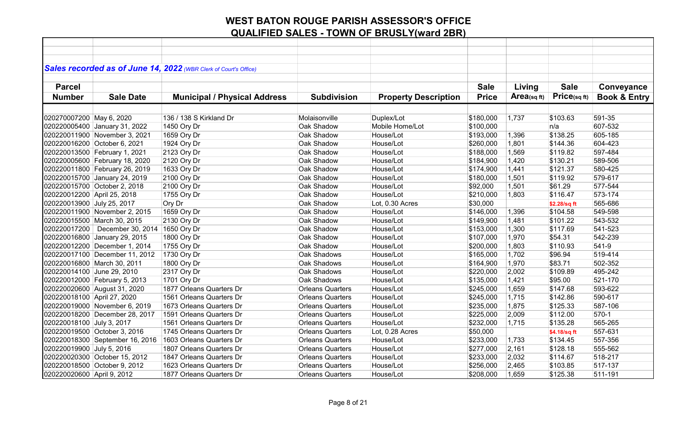|                             |                                 | Sales recorded as of June 14, 2022 (WBR Clerk of Court's Office) |                         |                             |              |            |              |                         |
|-----------------------------|---------------------------------|------------------------------------------------------------------|-------------------------|-----------------------------|--------------|------------|--------------|-------------------------|
|                             |                                 |                                                                  |                         |                             |              |            |              |                         |
| <b>Parcel</b>               |                                 |                                                                  |                         |                             | <b>Sale</b>  | Living     | <b>Sale</b>  | Conveyance              |
| <b>Number</b>               | <b>Sale Date</b>                | <b>Municipal / Physical Address</b>                              | <b>Subdivision</b>      | <b>Property Description</b> | <b>Price</b> | Area(sqft) | Price(sqft)  | <b>Book &amp; Entry</b> |
|                             |                                 |                                                                  |                         |                             |              |            |              |                         |
| 020270007200 May 6, 2020    |                                 | 136 / 138 S Kirkland Dr                                          | Molaisonville           | Duplex/Lot                  | \$180,000    | 1,737      | \$103.63     | 591-35                  |
|                             | 020220005400 January 31, 2022   | 1450 Ory Dr                                                      | Oak Shadow              | Mobile Home/Lot             | \$100,000    |            | n/a          | 607-532                 |
|                             | 020220011900 November 3, 2021   | 1659 Ory Dr                                                      | Oak Shadow              | House/Lot                   | \$193,000    | 1,396      | \$138.25     | 605-185                 |
|                             | 020220016200 October 6, 2021    | 1924 Ory Dr                                                      | Oak Shadow              | House/Lot                   | \$260,000    | 1,801      | \$144.36     | 604-423                 |
|                             | 020220013500 February 1, 2021   | 2123 Ory Dr                                                      | Oak Shadow              | House/Lot                   | \$188,000    | 1,569      | \$119.82     | 597-484                 |
|                             | 020220005600 February 18, 2020  | 2120 Ory Dr                                                      | Oak Shadow              | House/Lot                   | \$184,900    | 1,420      | \$130.21     | 589-506                 |
|                             | 020220011800 February 26, 2019  | 1633 Ory Dr                                                      | Oak Shadow              | House/Lot                   | \$174,900    | 1,441      | \$121.37     | 580-425                 |
|                             | 020220015700 January 24, 2019   | 2100 Ory Dr                                                      | Oak Shadow              | House/Lot                   | \$180,000    | 1,501      | \$119.92     | 579-617                 |
|                             | 020220015700 October 2, 2018    | 2100 Ory Dr                                                      | Oak Shadow              | House/Lot                   | \$92,000     | 1,501      | \$61.29      | 577-544                 |
| 020220012200 April 25, 2018 |                                 | 1755 Ory Dr                                                      | Oak Shadow              | House/Lot                   | \$210,000    | 1,803      | \$116.47     | 573-174                 |
| 020220013900 July 25, 2017  |                                 | Ory Dr                                                           | Oak Shadow              | Lot, 0.30 Acres             | \$30,000     |            | \$2.28/sq ft | 565-686                 |
|                             | 020220011900 November 2, 2015   | 1659 Ory Dr                                                      | Oak Shadow              | House/Lot                   | \$146,000    | 1,396      | \$104.58     | 549-598                 |
|                             | 020220015500 March 30, 2015     | 2130 Ory Dr                                                      | Oak Shadow              | House/Lot                   | \$149,900    | 1,481      | \$101.22     | 543-532                 |
|                             | 020220017200 December 30, 2014  | 1650 Ory Dr                                                      | Oak Shadow              | House/Lot                   | \$153,000    | 1,300      | \$117.69     | 541-523                 |
|                             | 020220016800 January 29, 2015   | 1800 Ory Dr                                                      | Oak Shadow              | House/Lot                   | \$107,000    | 1,970      | \$54.31      | 542-239                 |
|                             | 020220012200 December 1, 2014   | 1755 Ory Dr                                                      | Oak Shadow              | House/Lot                   | \$200,000    | 1,803      | \$110.93     | 541-9                   |
|                             | 020220017100 December 11, 2012  | 1730 Ory Dr                                                      | Oak Shadows             | House/Lot                   | \$165,000    | 1,702      | \$96.94      | 519-414                 |
| 020220016800 March 30, 2011 |                                 | 1800 Ory Dr                                                      | Oak Shadows             | House/Lot                   | \$164,900    | 1,970      | \$83.71      | 502-352                 |
| 020220014100 June 29, 2010  |                                 | 2317 Ory Dr                                                      | Oak Shadows             | House/Lot                   | \$220,000    | 2,002      | \$109.89     | 495-242                 |
|                             | 020220012000 February 5, 2013   | 1701 Ory Dr                                                      | Oak Shadows             | House/Lot                   | \$135,000    | 1,421      | \$95.00      | 521-170                 |
|                             | 020220020600 August 31, 2020    | 1877 Orleans Quarters Dr                                         | <b>Orleans Quarters</b> | Houes/Lot                   | \$245,000    | 1,659      | \$147.68     | 593-622                 |
| 020220018100 April 27, 2020 |                                 | 1561 Orleans Quarters Dr                                         | <b>Orleans Quarters</b> | House/Lot                   | \$245,000    | 1,715      | \$142.86     | 590-617                 |
|                             | 020220019000 November 6, 2019   | 1673 Orleans Quarters Dr                                         | <b>Orleans Quarters</b> | House/Lot                   | \$235,000    | 1,875      | \$125.33     | 587-106                 |
|                             | 020220018200 December 28, 2017  | 1591 Orleans Quarters Dr                                         | <b>Orleans Quarters</b> | House/Lot                   | \$225,000    | 2,009      | \$112.00     | $570-1$                 |
| 020220018100 July 3, 2017   |                                 | 1561 Orleans Quarters Dr                                         | <b>Orleans Quarters</b> | House/Lot                   | \$232,000    | 1,715      | \$135.28     | 565-265                 |
|                             | 020220019500 October 3, 2016    | 1745 Orleans Quarters Dr                                         | <b>Orleans Quarters</b> | Lot, 0.28 Acres             | \$50,000     |            | \$4.18/sq ft | 557-631                 |
|                             | 020220018300 September 16, 2016 | 1603 Orleans Quarters Dr                                         | <b>Orleans Quarters</b> | House/Lot                   | \$233,000    | 1,733      | \$134.45     | 557-356                 |
| 020220019900 July 5, 2016   |                                 | 1807 Orleans Quarters Dr                                         | <b>Orleans Quarters</b> | House/Lot                   | \$277,000    | 2,161      | \$128.18     | 555-562                 |
|                             | 020220020300 October 15, 2012   | 1847 Orleans Quarters Dr                                         | <b>Orleans Quarters</b> | House/Lot                   | \$233,000    | 2,032      | \$114.67     | 518-217                 |
|                             | 020220018500 October 9, 2012    | 1623 Orleans Quarters Dr                                         | <b>Orleans Quarters</b> | House/Lot                   | \$256,000    | 2,465      | \$103.85     | 517-137                 |
| 020220020600 April 9, 2012  |                                 | 1877 Orleans Quarters Dr                                         | <b>Orleans Quarters</b> | House/Lot                   | \$208,000    | 1,659      | \$125.38     | 511-191                 |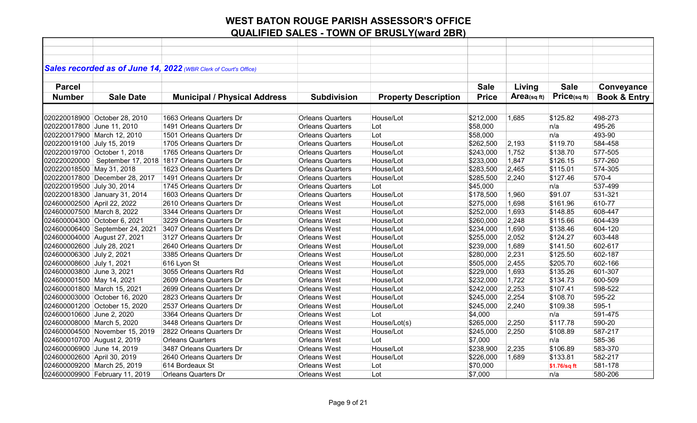|                              |                                 | Sales recorded as of June 14, 2022 (WBR Clerk of Court's Office) |                         |                             |              |             |              |                         |
|------------------------------|---------------------------------|------------------------------------------------------------------|-------------------------|-----------------------------|--------------|-------------|--------------|-------------------------|
|                              |                                 |                                                                  |                         |                             |              |             |              |                         |
| <b>Parcel</b>                |                                 |                                                                  |                         |                             | <b>Sale</b>  | Living      | <b>Sale</b>  | Conveyance              |
| <b>Number</b>                | <b>Sale Date</b>                | <b>Municipal / Physical Address</b>                              | <b>Subdivision</b>      | <b>Property Description</b> | <b>Price</b> | Area(sq ft) | Price(sqft)  | <b>Book &amp; Entry</b> |
|                              |                                 |                                                                  |                         |                             |              |             |              |                         |
|                              | 020220018900 October 28, 2010   | 1663 Orleans Quarters Dr                                         | <b>Orleans Quarters</b> | House/Lot                   | \$212,000    | 1,685       | \$125.82     | 498-273                 |
| 020220017800 June 11, 2010   |                                 | 1491 Orleans Quarters Dr                                         | <b>Orleans Quarters</b> | Lot                         | \$58,000     |             | n/a          | 495-26                  |
| 020220017900 March 12, 2010  |                                 | 1501 Orleans Quarters Dr                                         | <b>Orleans Quarters</b> | Lot                         | \$58,000     |             | n/a          | 493-90                  |
| 020220019100 July 15, 2019   |                                 | 1705 Orleans Quarters Dr                                         | <b>Orleans Quarters</b> | House/Lot                   | \$262,500    | 2,193       | \$119.70     | 584-458                 |
|                              | 020220019700 October 1, 2018    | 1765 Orleans Quarters Dr                                         | <b>Orleans Quarters</b> | House/Lot                   | \$243,000    | 1,752       | \$138.70     | 577-505                 |
|                              |                                 | 020220020000   September 17, 2018   1817 Orleans Quarters Dr     | <b>Orleans Quarters</b> | House/Lot                   | \$233,000    | 1,847       | \$126.15     | 577-260                 |
| 020220018500 May 31, 2018    |                                 | 1623 Orleans Quarters Dr                                         | <b>Orleans Quarters</b> | House/Lot                   | \$283,500    | 2,465       | \$115.01     | 574-305                 |
|                              | 020220017800 December 28, 2017  | 1491 Orleans Quarters Dr                                         | <b>Orleans Quarters</b> | House/Lot                   | \$285,500    | 2,240       | \$127.46     | 570-4                   |
| 020220019500 July 30, 2014   |                                 | 1745 Orleans Quarters Dr                                         | <b>Orleans Quarters</b> | Lot                         | \$45,000     |             | n/a          | 537-499                 |
|                              | 020220018300 January 31, 2014   | 1603 Orleans Quarters Dr                                         | <b>Orleans Quarters</b> | House/Lot                   | \$178,500    | 1,960       | \$91.07      | 531-321                 |
| 024600002500 April 22, 2022  |                                 | 2610 Orleans Quarters Dr                                         | <b>Orleans West</b>     | House/Lot                   | \$275,000    | 1,698       | \$161.96     | 610-77                  |
| 024600007500 March 8, 2022   |                                 | 3344 Orleans Quarters Dr                                         | <b>Orleans West</b>     | House/Lot                   | \$252,000    | 1,693       | \$148.85     | 608-447                 |
| 024600004300 October 6, 2021 |                                 | 3229 Orleans Quarters Dr                                         | <b>Orleans West</b>     | House/Lot                   | \$260,000    | 2,248       | \$115.66     | 604-439                 |
|                              | 024600006400 September 24, 2021 | 3407 Orleans Quarters Dr                                         | <b>Orleans West</b>     | House/Lot                   | \$234,000    | 1,690       | \$138.46     | 604-120                 |
|                              | 024600004000 August 27, 2021    | 3127 Orleans Quarters Dr                                         | Orleans West            | House/Lot                   | \$255,000    | 2,052       | \$124.27     | 603-448                 |
| 024600002600 July 28, 2021   |                                 | 2640 Orleans Quarters Dr                                         | <b>Orleans West</b>     | House/Lot                   | \$239,000    | 1,689       | \$141.50     | 602-617                 |
| 024600006300 July 2, 2021    |                                 | 3385 Orleans Quarters Dr                                         | <b>Orleans West</b>     | House/Lot                   | \$280,000    | 2,231       | \$125.50     | 602-187                 |
| 024600008600 July 1, 2021    |                                 | 616 Lyon St                                                      | <b>Orleans West</b>     | House/Lot                   | \$505,000    | 2,455       | \$205.70     | 602-166                 |
| 024600003800 June 3, 2021    |                                 | 3055 Orleans Quarters Rd                                         | <b>Orleans West</b>     | House/Lot                   | \$229,000    | 1,693       | \$135.26     | 601-307                 |
| 024600001500 May 14, 2021    |                                 | 2609 Orleans Quarters Dr                                         | Orleans West            | House/Lot                   | \$232,000    | 1,722       | \$134.73     | 600-509                 |
| 024600001800 March 15, 2021  |                                 | 2699 Orleans Quarters Dr                                         | <b>Orleans West</b>     | House/Lot                   | \$242,000    | 2,253       | \$107.41     | 598-522                 |
|                              | 024600003000 October 16, 2020   | 2823 Orleans Quarters Dr                                         | <b>Orleans West</b>     | House/Lot                   | \$245,000    | 2,254       | \$108.70     | 595-22                  |
|                              | 024600001200 October 15, 2020   | 2537 Orleans Quarters Dr                                         | <b>Orleans West</b>     | House/Lot                   | \$245,000    | 2,240       | \$109.38     | 595-1                   |
| 024600010600 June 2, 2020    |                                 | 3364 Orleans Quarters Dr                                         | <b>Orleans West</b>     | Lot                         | \$4,000      |             | n/a          | 591-475                 |
| 024600008000 March 5, 2020   |                                 | 3448 Orleans Quarters Dr                                         | <b>Orleans West</b>     | House/Lot(s)                | \$265,000    | 2,250       | \$117.78     | 590-20                  |
|                              | 024600004500 November 15, 2019  | 2822 Orleans Quarters Dr                                         | <b>Orleans West</b>     | House/Lot                   | \$245,000    | 2,250       | \$108.89     | 587-217                 |
| 024600010700 August 2, 2019  |                                 | <b>Orleans Quarters</b>                                          | <b>Orleans West</b>     | Lot                         | \$7,000      |             | n/a          | 585-36                  |
| 024600006900 June 14, 2019   |                                 | 3487 Orleans Quarters Dr                                         | <b>Orleans West</b>     | House/Lot                   | \$238,900    | 2,235       | \$106.89     | 583-370                 |
| 024600002600 April 30, 2019  |                                 | 2640 Orleans Quarters Dr                                         | <b>Orleans West</b>     | House/Lot                   | \$226,000    | 1,689       | \$133.81     | 582-217                 |
| 024600009200 March 25, 2019  |                                 | 614 Bordeaux St                                                  | <b>Orleans West</b>     | Lot                         | \$70,000     |             | \$1.76/sq ft | 581-178                 |
|                              | 024600009900 February 11, 2019  | <b>Orleans Quarters Dr</b>                                       | <b>Orleans West</b>     | Lot                         | \$7,000      |             | n/a          | 580-206                 |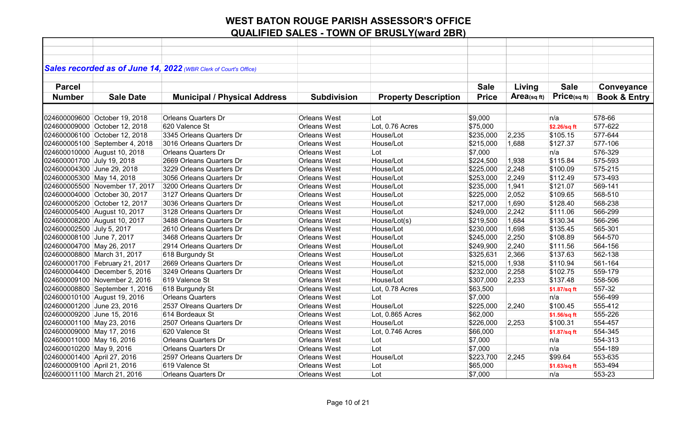|                             |                                | Sales recorded as of June 14, 2022 (WBR Clerk of Court's Office) |                     |                             |              |                |              |                         |
|-----------------------------|--------------------------------|------------------------------------------------------------------|---------------------|-----------------------------|--------------|----------------|--------------|-------------------------|
|                             |                                |                                                                  |                     |                             |              |                |              |                         |
| <b>Parcel</b>               |                                |                                                                  |                     |                             | <b>Sale</b>  | Living         | <b>Sale</b>  | Conveyance              |
| <b>Number</b>               | <b>Sale Date</b>               | <b>Municipal / Physical Address</b>                              | <b>Subdivision</b>  | <b>Property Description</b> | <b>Price</b> | Area(sq $ft$ ) | Price(sqft)  | <b>Book &amp; Entry</b> |
|                             |                                |                                                                  |                     |                             |              |                |              |                         |
|                             | 024600009600 October 19, 2018  | <b>Orleans Quarters Dr</b>                                       | <b>Orleans West</b> | Lot                         | \$9,000      |                | n/a          | 578-66                  |
|                             | 024600009000 October 12, 2018  | 620 Valence St                                                   | <b>Orleans West</b> | Lot, 0.76 Acres             | \$75,000     |                | \$2.26/sq ft | 577-622                 |
|                             | 024600006100 October 12, 2018  | 3345 Orleans Quarters Dr                                         | <b>Orleans West</b> | House/Lot                   | \$235,000    | 2,235          | \$105.15     | 577-644                 |
|                             | 024600005100 September 4, 2018 | 3016 Orleans Quarters Dr                                         | <b>Orleans West</b> | House/Lot                   | \$215,000    | 1,688          | \$127.37     | 577-106                 |
|                             | 024600010000 August 10, 2018   | <b>Orleans Quarters Dr</b>                                       | <b>Orleans West</b> | Lot                         | \$7,000      |                | n/a          | 576-329                 |
| 024600001700 July 19, 2018  |                                | 2669 Orleans Quarters Dr                                         | <b>Orleans West</b> | House/Lot                   | \$224,500    | 1,938          | \$115.84     | 575-593                 |
| 024600004300 June 29, 2018  |                                | 3229 Orleans Quarters Dr                                         | <b>Orleans West</b> | House/Lot                   | \$225,000    | 2,248          | \$100.09     | 575-215                 |
| 024600005300 May 14, 2018   |                                | 3056 Orleans Quarters Dr                                         | <b>Orleans West</b> | House/Lot                   | \$253,000    | 2,249          | \$112.49     | 573-493                 |
|                             | 024600005500 November 17, 2017 | 3200 Orleans Quarters Dr                                         | <b>Orleans West</b> | House/Lot                   | \$235,000    | 1,941          | \$121.07     | 569-141                 |
|                             | 024600004000 October 30, 2017  | 3127 Orleans Quarters Dr                                         | <b>Orleans West</b> | House/Lot                   | \$225,000    | 2,052          | \$109.65     | 568-510                 |
|                             | 024600005200 October 12, 2017  | 3036 Orleans Quarters Dr                                         | <b>Orleans West</b> | House/Lot                   | \$217,000    | 1,690          | \$128.40     | 568-238                 |
|                             | 024600005400 August 10, 2017   | 3128 Orleans Quarters Dr                                         | <b>Orleans West</b> | House/Lot                   | \$249,000    | 2,242          | \$111.06     | 566-299                 |
|                             | 024600008200 August 10, 2017   | 3488 Orleans Quarters Dr                                         | <b>Orleans West</b> | House/Lot(s)                | \$219,500    | 1,684          | \$130.34     | 566-296                 |
| 024600002500 July 5, 2017   |                                | 2610 Orleans Quarters Dr                                         | <b>Orleans West</b> | House/Lot                   | \$230,000    | 1,698          | \$135.45     | 565-301                 |
| 024600008100 June 7, 2017   |                                | 3468 Orleans Quarters Dr                                         | <b>Orleans West</b> | House/Lot                   | \$245,000    | 2,250          | \$108.89     | 564-570                 |
| 024600004700 May 26, 2017   |                                | 2914 Orleans Quarters Dr                                         | <b>Orleans West</b> | House/Lot                   | \$249,900    | 2,240          | \$111.56     | 564-156                 |
|                             | 024600008800 March 31, 2017    | 618 Burgundy St                                                  | <b>Orleans West</b> | House/Lot                   | \$325,631    | 2,366          | \$137.63     | 562-138                 |
|                             | 024600001700 February 21, 2017 | 2669 Orleans Quarters Dr                                         | <b>Orleans West</b> | House/Lot                   | \$215,000    | 1,938          | \$110.94     | 561-164                 |
|                             | 024600004400 December 5, 2016  | 3249 Orleans Quarters Dr                                         | <b>Orleans West</b> | House/Lot                   | \$232,000    | 2,258          | \$102.75     | 559-179                 |
|                             | 024600009100 November 2, 2016  | 619 Valence St                                                   | <b>Orleans West</b> | House/Lot                   | \$307,000    | 2,233          | \$137.48     | 558-506                 |
|                             | 024600008800 September 1, 2016 | 618 Burgundy St                                                  | <b>Orleans West</b> | Lot, 0.78 Acres             | \$63,500     |                | \$1.87/sq ft | 557-32                  |
|                             | 024600010100 August 19, 2016   | <b>Orleans Quarters</b>                                          | <b>Orleans West</b> | Lot                         | \$7,000      |                | n/a          | 556-499                 |
| 024600001200 June 23, 2016  |                                | 2537 Olreans Quarters Dr                                         | <b>Orleans West</b> | House/Lot                   | \$225,000    | 2,240          | \$100.45     | 555-412                 |
| 024600009200 June 15, 2016  |                                | 614 Bordeaux St                                                  | <b>Orleans West</b> | Lot, 0.865 Acres            | \$62,000     |                | \$1.56/sq ft | 555-226                 |
| 024600001100 May 23, 2016   |                                | 2507 Orleans Quarters Dr                                         | <b>Orleans West</b> | House/Lot                   | \$226,000    | 2,253          | \$100.31     | 554-457                 |
| 024600009000 May 17, 2016   |                                | 620 Valence St                                                   | <b>Orleans West</b> | Lot, 0.746 Acres            | \$66,000     |                | \$1.87/sq ft | 554-345                 |
| 024600011000 May 16, 2016   |                                | <b>Orleans Quarters Dr</b>                                       | <b>Orleans West</b> | Lot                         | \$7,000      |                | n/a          | 554-313                 |
| 024600010200 May 9, 2016    |                                | <b>Orleans Quarters Dr</b>                                       | <b>Orleans West</b> | Lot                         | \$7,000      |                | n/a          | 554-189                 |
| 024600001400 April 27, 2016 |                                | 2597 Orleans Quarters Dr                                         | <b>Orleans West</b> | House/Lot                   | \$223,700    | 2,245          | \$99.64      | 553-635                 |
| 024600009100 April 21, 2016 |                                | 619 Valence St                                                   | <b>Orleans West</b> | Lot                         | \$65,000     |                | \$1.63/sq ft | 553-494                 |
|                             | 024600011100 March 21, 2016    | <b>Orleans Quarters Dr</b>                                       | <b>Orleans West</b> | Lot                         | \$7,000      |                | n/a          | 553-23                  |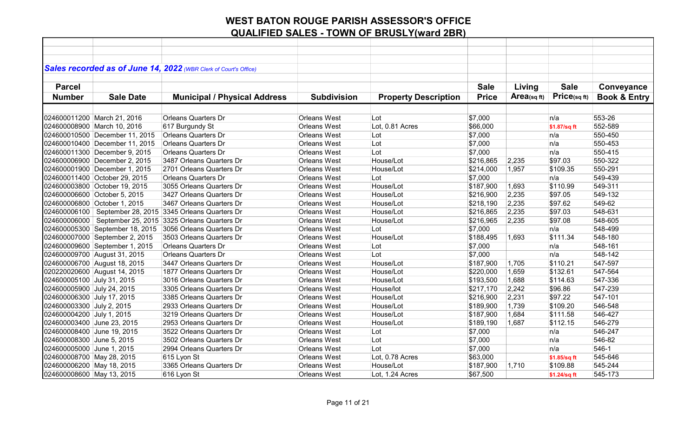|                            |                                 | Sales recorded as of June 14, 2022 (WBR Clerk of Court's Office) |                     |                             |              |            |              |                         |
|----------------------------|---------------------------------|------------------------------------------------------------------|---------------------|-----------------------------|--------------|------------|--------------|-------------------------|
|                            |                                 |                                                                  |                     |                             |              |            |              |                         |
| <b>Parcel</b>              |                                 |                                                                  |                     |                             | <b>Sale</b>  | Living     | <b>Sale</b>  | Conveyance              |
| <b>Number</b>              | <b>Sale Date</b>                | <b>Municipal / Physical Address</b>                              | <b>Subdivision</b>  | <b>Property Description</b> | <b>Price</b> | Area(sqft) | Price(sqft)  | <b>Book &amp; Entry</b> |
|                            |                                 |                                                                  |                     |                             |              |            |              |                         |
|                            | 024600011200 March 21, 2016     | <b>Orleans Quarters Dr</b>                                       | <b>Orleans West</b> | Lot                         | \$7,000      |            | n/a          | 553-26                  |
|                            | 024600008900 March 10, 2016     | 617 Burgundy St                                                  | <b>Orleans West</b> | Lot, 0.81 Acres             | \$66,000     |            | \$1.87/sq ft | 552-589                 |
|                            | 024600010500 December 11, 2015  | <b>Orleans Quarters Dr</b>                                       | <b>Orleans West</b> | Lot                         | \$7,000      |            | n/a          | 550-450                 |
|                            | 024600010400 December 11, 2015  | <b>Orleans Quarters Dr</b>                                       | <b>Orleans West</b> | Lot                         | \$7,000      |            | n/a          | 550-453                 |
|                            | 024600011300 December 9, 2015   | <b>Orleans Quarters Dr</b>                                       | <b>Orleans West</b> | Lot                         | \$7,000      |            | n/a          | 550-415                 |
|                            | 024600006900 December 2, 2015   | 3487 Orleans Quarters Dr                                         | <b>Orleans West</b> | House/Lot                   | \$216,865    | 2,235      | \$97.03      | 550-322                 |
|                            | 024600001900 December 1, 2015   | 2701 Orleans Quarters Dr                                         | <b>Orleans West</b> | House/Lot                   | \$214,000    | 1,957      | \$109.35     | 550-291                 |
|                            | 024600011400 October 29, 2015   | <b>Orleans Quarters Dr</b>                                       | <b>Orleans West</b> | Lot                         | \$7,000      |            | n/a          | 549-439                 |
|                            | 024600003800 October 19, 2015   | 3055 Orleans Quarters Dr                                         | <b>Orleans West</b> | House/Lot                   | \$187,900    | 1,693      | \$110.99     | 549-311                 |
|                            | 024600006600 October 5, 2015    | 3427 Orleans Quarters Dr                                         | <b>Orleans West</b> | House/Lot                   | \$216,900    | 2,235      | \$97.05      | 549-132                 |
|                            | 024600006800 October 1, 2015    | 3467 Orleans Quarters Dr                                         | <b>Orleans West</b> | House/Lot                   | \$218,190    | 2,235      | \$97.62      | 549-62                  |
| 024600006100               |                                 | September 28, 2015 3345 Orleans Quarters Dr                      | <b>Orleans West</b> | House/Lot                   | \$216,865    | 2,235      | \$97.03      | 548-631                 |
| 024600006000               |                                 | September 25, 2015 3325 Orleans Quarters Dr                      | <b>Orleans West</b> | House/Lot                   | \$216,965    | 2,235      | \$97.08      | 548-605                 |
|                            | 024600005300 September 18, 2015 | 3056 Orleans Quarters Dr                                         | <b>Orleans West</b> | Lot                         | \$7,000      |            | n/a          | 548-499                 |
|                            | 024600007000 September 2, 2015  | 3503 Orleans Quarters Dr                                         | <b>Orleans West</b> | House/Lot                   | \$188,495    | 1,693      | \$111.34     | 548-180                 |
|                            | 024600009600 September 1, 2015  | <b>Orleans Quarters Dr</b>                                       | <b>Orleans West</b> | Lot                         | \$7,000      |            | n/a          | 548-161                 |
|                            | 024600009700 August 31, 2015    | <b>Orleans Quarters Dr</b>                                       | <b>Orleans West</b> | Lot                         | \$7,000      |            | n/a          | 548-142                 |
|                            | 024600006700 August 18, 2015    | 3447 Orleans Quarters Dr                                         | <b>Orleans West</b> | House/Lot                   | \$187,900    | 1,705      | \$110.21     | 547-597                 |
|                            | 020220020600 August 14, 2015    | 1877 Orleans Quarters Dr                                         | <b>Orleans West</b> | House/Lot                   | \$220,000    | 1,659      | \$132.61     | 547-564                 |
| 024600005100 July 31, 2015 |                                 | 3016 Orleans Quarters Dr                                         | <b>Orleans West</b> | House/Lot                   | \$193,500    | 1,688      | \$114.63     | 547-336                 |
| 024600005900 July 24, 2015 |                                 | 3305 Orleans Quarters Dr                                         | <b>Orleans West</b> | House/lot                   | \$217,170    | 2,242      | \$96.86      | 547-239                 |
| 024600006300 July 17, 2015 |                                 | 3385 Orleans Quarters Dr                                         | <b>Orleans West</b> | House/Lot                   | \$216,900    | 2,231      | \$97.22      | 547-101                 |
| 024600003300 July 2, 2015  |                                 | 2933 Orleans Quarters Dr                                         | <b>Orleans West</b> | House/Lot                   | \$189,900    | 1,739      | \$109.20     | 546-548                 |
| 024600004200 July 1, 2015  |                                 | 3219 Orleans Quarters Dr                                         | <b>Orleans West</b> | House/Lot                   | \$187,900    | 1,684      | \$111.58     | 546-427                 |
| 024600003400 June 23, 2015 |                                 | 2953 Orleans Quarters Dr                                         | <b>Orleans West</b> | House/Lot                   | \$189,190    | 1,687      | \$112.15     | 546-279                 |
| 024600008400 June 19, 2015 |                                 | 3522 Orleans Quarters Dr                                         | <b>Orleans West</b> | Lot                         | \$7,000      |            | n/a          | 546-247                 |
| 024600008300 June 5, 2015  |                                 | 3502 Orleans Quarters Dr                                         | <b>Orleans West</b> | Lot                         | \$7,000      |            | n/a          | 546-82                  |
| 024600005000 June 1, 2015  |                                 | 2994 Orleans Quarters Dr                                         | <b>Orleans West</b> | Lot                         | \$7,000      |            | n/a          | 546-1                   |
| 024600008700 May 28, 2015  |                                 | 615 Lyon St                                                      | <b>Orleans West</b> | Lot, 0.78 Acres             | \$63,000     |            | \$1.85/sq ft | 545-646                 |
| 024600006200 May 18, 2015  |                                 | 3365 Orleans Quarters Dr                                         | <b>Orleans West</b> | House/Lot                   | \$187,900    | 1,710      | \$109.88     | 545-244                 |
| 024600008600 May 13, 2015  |                                 | 616 Lyon St                                                      | <b>Orleans West</b> | Lot, 1.24 Acres             | \$67,500     |            | \$1.24/sq ft | 545-173                 |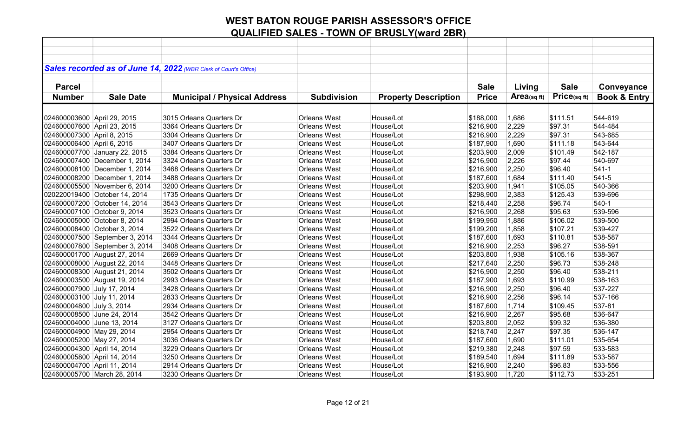|                             |                                | Sales recorded as of June 14, 2022 (WBR Clerk of Court's Office) |                     |                             |              |            |             |                         |
|-----------------------------|--------------------------------|------------------------------------------------------------------|---------------------|-----------------------------|--------------|------------|-------------|-------------------------|
|                             |                                |                                                                  |                     |                             |              |            |             |                         |
| <b>Parcel</b>               |                                |                                                                  |                     |                             | <b>Sale</b>  | Living     | <b>Sale</b> | Conveyance              |
| <b>Number</b>               | <b>Sale Date</b>               | <b>Municipal / Physical Address</b>                              | <b>Subdivision</b>  | <b>Property Description</b> | <b>Price</b> | Area(sqft) | Price(sqft) | <b>Book &amp; Entry</b> |
|                             |                                |                                                                  |                     |                             |              |            |             |                         |
| 024600003600 April 29, 2015 |                                | 3015 Orleans Quarters Dr                                         | <b>Orleans West</b> | House/Lot                   | \$188,000    | 1,686      | \$111.51    | 544-619                 |
| 024600007600 April 23, 2015 |                                | 3364 Orleans Quarters Dr                                         | <b>Orleans West</b> | House/Lot                   | \$216,900    | 2,229      | \$97.31     | 544-484                 |
| 024600007300 April 8, 2015  |                                | 3304 Orleans Quarters Dr                                         | <b>Orleans West</b> | House/Lot                   | \$216,900    | 2,229      | \$97.31     | 543-685                 |
| 024600006400 April 6, 2015  |                                | 3407 Orleans Quarters Dr                                         | <b>Orleans West</b> | House/Lot                   | \$187,900    | 1,690      | \$111.18    | 543-644                 |
|                             | 024600007700 January 22, 2015  | 3384 Orleans Quarters Dr                                         | <b>Orleans West</b> | House/Lot                   | \$203,900    | 2,009      | \$101.49    | 542-187                 |
|                             | 024600007400 December 1, 2014  | 3324 Orleans Quarters Dr                                         | <b>Orleans West</b> | House/Lot                   | \$216,900    | 2,226      | \$97.44     | 540-697                 |
|                             | 024600008100 December 1, 2014  | 3468 Orleans Quarters Dr                                         | <b>Orleans West</b> | House/Lot                   | \$216,900    | 2,250      | \$96.40     | $541-1$                 |
|                             | 024600008200 December 1, 2014  | 3488 Orleans Quarters Dr                                         | <b>Orleans West</b> | House/Lot                   | \$187,600    | 1,684      | \$111.40    | 541-5                   |
|                             | 024600005500 November 6, 2014  | 3200 Orleans Quarters Dr                                         | <b>Orleans West</b> | House/Lot                   | \$203,900    | 1,941      | \$105.05    | 540-366                 |
|                             | 020220019400 October 14, 2014  | 1735 Orleans Quarters Dr                                         | <b>Orleans West</b> | House/Lot                   | \$298,900    | 2,383      | \$125.43    | 539-696                 |
|                             | 024600007200 October 14, 2014  | 3543 Orleans Quarters Dr                                         | <b>Orleans West</b> | House/Lot                   | \$218,440    | 2,258      | \$96.74     | $540-1$                 |
|                             | 024600007100 October 9, 2014   | 3523 Orleans Quarters Dr                                         | <b>Orleans West</b> | House/Lot                   | \$216,900    | 2,268      | \$95.63     | 539-596                 |
|                             | 024600005000 October 8, 2014   | 2994 Orleans Quarters Dr                                         | <b>Orleans West</b> | House/Lot                   | \$199,950    | 1,886      | \$106.02    | 539-500                 |
|                             | 024600008400 October 3, 2014   | 3522 Orleans Quarters Dr                                         | <b>Orleans West</b> | House/Lot                   | \$199,200    | 1,858      | \$107.21    | 539-427                 |
|                             | 024600007500 September 3, 2014 | 3344 Orleans Quarters Dr                                         | <b>Orleans West</b> | House/Lot                   | \$187,600    | 1,693      | \$110.81    | 538-587                 |
|                             | 024600007800 September 3, 2014 | 3408 Orleans Quarters Dr                                         | <b>Orleans West</b> | House/Lot                   | \$216,900    | 2,253      | \$96.27     | 538-591                 |
|                             | 024600001700 August 27, 2014   | 2669 Orleans Quarters Dr                                         | <b>Orleans West</b> | House/Lot                   | \$203,800    | 1,938      | \$105.16    | 538-367                 |
|                             | 024600008000 August 22, 2014   | 3448 Orleans Quarters Dr                                         | <b>Orleans West</b> | House/Lot                   | \$217,640    | 2,250      | \$96.73     | 538-248                 |
|                             | 024600008300 August 21, 2014   | 3502 Orleans Quarters Dr                                         | <b>Orleans West</b> | House/Lot                   | \$216,900    | 2,250      | \$96.40     | 538-211                 |
|                             | 024600003500 August 19, 2014   | 2993 Orleans Quarters Dr                                         | <b>Orleans West</b> | House/Lot                   | \$187,900    | 1,693      | \$110.99    | 538-163                 |
| 024600007900 July 17, 2014  |                                | 3428 Orleans Quarters Dr                                         | <b>Orleans West</b> | House/Lot                   | \$216,900    | 2,250      | \$96.40     | 537-227                 |
| 024600003100 July 11, 2014  |                                | 2833 Orleans Quarters Dr                                         | <b>Orleans West</b> | House/Lot                   | \$216,900    | 2,256      | \$96.14     | 537-166                 |
| 024600004800 July 3, 2014   |                                | 2934 Orleans Quarters Dr                                         | <b>Orleans West</b> | House/Lot                   | \$187,600    | 1,714      | \$109.45    | 537-81                  |
| 024600008500 June 24, 2014  |                                | 3542 Orleans Quarters Dr                                         | <b>Orleans West</b> | House/Lot                   | \$216,900    | 2,267      | \$95.68     | 536-647                 |
| 024600004000 June 13, 2014  |                                | 3127 Orleans Quarters Dr                                         | <b>Orleans West</b> | House/Lot                   | \$203,800    | 2,052      | \$99.32     | 536-380                 |
| 024600004900 May 29, 2014   |                                | 2954 Orleans Quarters Dr                                         | <b>Orleans West</b> | House/Lot                   | \$218,740    | 2,247      | \$97.35     | 536-147                 |
| 024600005200 May 27, 2014   |                                | 3036 Orleans Quarters Dr                                         | <b>Orleans West</b> | House/Lot                   | \$187,600    | 1,690      | \$111.01    | 535-654                 |
| 024600004300 April 14, 2014 |                                | 3229 Orleans Quarters Dr                                         | <b>Orleans West</b> | House/Lot                   | \$219,380    | 2,248      | \$97.59     | 533-583                 |
| 024600005800 April 14, 2014 |                                | 3250 Orleans Quarters Dr                                         | <b>Orleans West</b> | House/Lot                   | \$189,540    | 1,694      | \$111.89    | 533-587                 |
| 024600004700 April 11, 2014 |                                | 2914 Orleans Quarters Dr                                         | <b>Orleans West</b> | House/Lot                   | \$216,900    | 2,240      | \$96.83     | 533-556                 |
| 024600005700 March 28, 2014 |                                | 3230 Orleans Quarters Dr                                         | <b>Orleans West</b> | House/Lot                   | \$193,900    | 1,720      | \$112.73    | 533-251                 |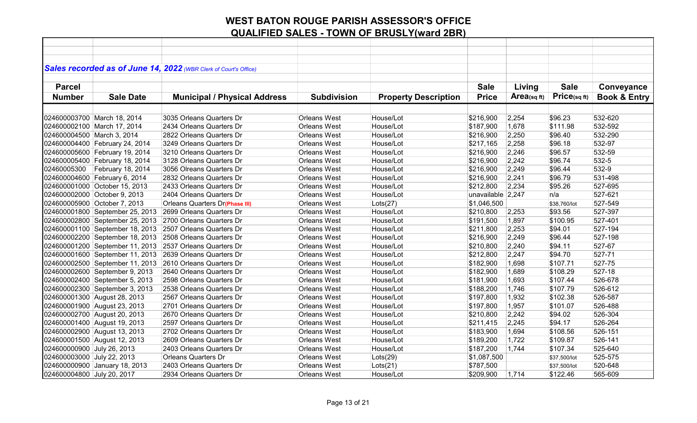|                             |                                 | Sales recorded as of June 14, 2022 (WBR Clerk of Court's Office) |                                            |                             |                   |            |              |                         |
|-----------------------------|---------------------------------|------------------------------------------------------------------|--------------------------------------------|-----------------------------|-------------------|------------|--------------|-------------------------|
|                             |                                 |                                                                  |                                            |                             |                   |            |              |                         |
| <b>Parcel</b>               |                                 |                                                                  |                                            |                             | <b>Sale</b>       | Living     | <b>Sale</b>  | Conveyance              |
| <b>Number</b>               | <b>Sale Date</b>                | <b>Municipal / Physical Address</b>                              | <b>Subdivision</b>                         | <b>Property Description</b> | <b>Price</b>      | Area(sqft) | Price(sqft)  | <b>Book &amp; Entry</b> |
|                             |                                 |                                                                  |                                            |                             |                   |            |              |                         |
| 024600003700 March 18, 2014 |                                 | 3035 Orleans Quarters Dr                                         | <b>Orleans West</b>                        | House/Lot                   | \$216,900         | 2,254      | \$96.23      | 532-620                 |
| 024600002100 March 17, 2014 |                                 | 2434 Orleans Quarters Dr                                         | <b>Orleans West</b>                        | House/Lot                   | \$187,900         | 1,678      | \$111.98     | 532-592                 |
| 024600004500 March 3, 2014  |                                 | 2822 Orleans Quarters Dr                                         | <b>Orleans West</b>                        | House/Lot                   |                   | 2,250      | \$96.40      | 532-290                 |
|                             |                                 | 3249 Orleans Quarters Dr                                         |                                            |                             | \$216,900         |            |              |                         |
|                             | 024600004400 February 24, 2014  | 3210 Orleans Quarters Dr                                         | <b>Orleans West</b>                        | House/Lot                   | \$217,165         | 2,258      | \$96.18      | 532-97                  |
|                             | 024600005600 February 19, 2014  |                                                                  | <b>Orleans West</b><br><b>Orleans West</b> | House/Lot                   | \$216,900         | 2,246      | \$96.57      | 532-59<br>532-5         |
|                             | 024600005400 February 18, 2014  | 3128 Orleans Quarters Dr                                         |                                            | House/Lot                   | \$216,900         | 2,242      | \$96.74      |                         |
| 02460005300                 | February 18, 2014               | 3056 Olreans Quarters Dr                                         | <b>Orleans West</b>                        | House/Lot                   | \$216,900         | 2,249      | \$96.44      | 532-9                   |
|                             | 024600004600 February 6, 2014   | 2832 Orleans Quarters Dr                                         | <b>Orleans West</b>                        | House/Lot                   | \$216,900         | 2,241      | \$96.79      | 531-498                 |
|                             | 024600001000 October 15, 2013   | 2433 Orleans Quarters Dr                                         | <b>Orleans West</b>                        | House/Lot                   | \$212,800         | 2,234      | \$95.26      | 527-695                 |
|                             | 024600002000 October 9, 2013    | 2404 Orleans Quarters Dr                                         | <b>Orleans West</b>                        | House/Lot                   | unavailable 2,247 |            | n/a          | 527-621                 |
|                             | 024600005900 October 7, 2013    | <b>Orleans Quarters Dr(Phase III)</b>                            | Orleans West                               | Lots(27)                    | \$1,046,500       |            | \$38,760/lot | 527-549                 |
|                             | 024600001800 September 25, 2013 | 2699 Orleans Quarters Dr                                         | <b>Orleans West</b>                        | House/Lot                   | \$210,800         | 2,253      | \$93.56      | 527-397                 |
|                             | 024600002800 September 25, 2013 | 2700 Orleans Quarters Dr                                         | <b>Orleans West</b>                        | House/Lot                   | \$191,500         | 1,897      | \$100.95     | 527-401                 |
|                             | 024600001100 September 18, 2013 | 2507 Orleans Quarters Dr                                         | <b>Orleans West</b>                        | House/Lot                   | \$211,800         | 2,253      | \$94.01      | 527-194                 |
|                             | 024600002200 September 18, 2013 | 2508 Orleans Quarters Dr                                         | <b>Orleans West</b>                        | House/Lot                   | \$216,900         | 2,249      | \$96.44      | 527-198                 |
|                             | 024600001200 September 11, 2013 | 2537 Orleans Quarters Dr                                         | <b>Orleans West</b>                        | House/Lot                   | \$210,800         | 2,240      | \$94.11      | 527-67                  |
|                             | 024600001600 September 11, 2013 | 2639 Orleans Quarters Dr                                         | <b>Orleans West</b>                        | House/Lot                   | \$212,800         | 2,247      | \$94.70      | 527-71                  |
|                             | 024600002500 September 11, 2013 | 2610 Orleans Quarters Dr                                         | <b>Orleans West</b>                        | House/Lot                   | \$182,900         | 1,698      | \$107.71     | 527-75                  |
|                             | 024600002600 September 9, 2013  | 2640 Orleans Quarters Dr                                         | <b>Orleans West</b>                        | House/Lot                   | \$182,900         | 1,689      | \$108.29     | 527-18                  |
|                             | 024600002400 September 5, 2013  | 2598 Orleans Quarters Dr                                         | <b>Orleans West</b>                        | House/Lot                   | \$181,900         | 1,693      | \$107.44     | 526-678                 |
|                             | 024600002300 September 3, 2013  | 2538 Orleans Quarters Dr                                         | <b>Orleans West</b>                        | House/Lot                   | \$188,200         | 1,746      | \$107.79     | 526-612                 |
|                             | 024600001300 August 28, 2013    | 2567 Orleans Quarters Dr                                         | <b>Orleans West</b>                        | House/Lot                   | \$197,800         | 1,932      | \$102.38     | 526-587                 |
|                             | 024600001900 August 23, 2013    | 2701 Orleans Quarters Dr                                         | <b>Orleans West</b>                        | House/Lot                   | \$197,800         | 1,957      | \$101.07     | 526-488                 |
|                             | 024600002700 August 20, 2013    | 2670 Orleans Quarters Dr                                         | <b>Orleans West</b>                        | House/Lot                   | \$210,800         | 2,242      | \$94.02      | 526-304                 |
|                             | 024600001400 August 19, 2013    | 2597 Orleans Quarters Dr                                         | <b>Orleans West</b>                        | House/Lot                   | \$211,415         | 2,245      | \$94.17      | 526-264                 |
|                             | 024600002900 August 13, 2013    | 2702 Orleans Quarters Dr                                         | <b>Orleans West</b>                        | House/Lot                   | \$183,900         | 1,694      | \$108.56     | 526-151                 |
|                             | 024600001500 August 12, 2013    | 2609 Orleans Quarters Dr                                         | <b>Orleans West</b>                        | House/Lot                   | \$189,200         | 1,722      | \$109.87     | 526-141                 |
| 024600000900 July 26, 2013  |                                 | 2403 Orleans Quarters Dr                                         | <b>Orleans West</b>                        | House/Lot                   | \$187,200         | 1,744      | \$107.34     | 525-640                 |
| 024600003000 July 22, 2013  |                                 | <b>Orleans Quarters Dr</b>                                       | <b>Orleans West</b>                        | Lots(29)                    | \$1,087,500       |            | \$37,500/lot | 525-575                 |
|                             | 024600000900 January 18, 2013   | 2403 Orleans Quarters Dr                                         | <b>Orleans West</b>                        | Lots(21)                    | \$787,500         |            | \$37,500/lot | 520-648                 |
| 024600004800 July 20, 2017  |                                 | 2934 Orleans Quarters Dr                                         | <b>Orleans West</b>                        | House/Lot                   | \$209,900         | 1,714      | \$122.46     | 565-609                 |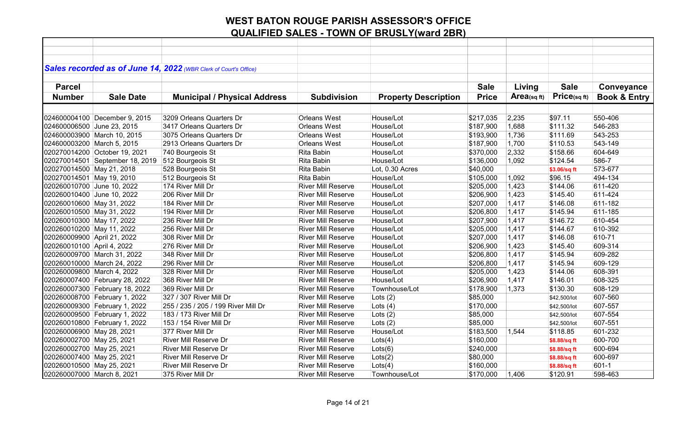|                             |                                 | Sales recorded as of June 14, 2022 (WBR Clerk of Court's Office) |                           |                             |              |            |              |                         |
|-----------------------------|---------------------------------|------------------------------------------------------------------|---------------------------|-----------------------------|--------------|------------|--------------|-------------------------|
|                             |                                 |                                                                  |                           |                             |              |            |              |                         |
| <b>Parcel</b>               |                                 |                                                                  |                           |                             | <b>Sale</b>  | Living     | <b>Sale</b>  | Conveyance              |
| <b>Number</b>               | <b>Sale Date</b>                | <b>Municipal / Physical Address</b>                              | <b>Subdivision</b>        | <b>Property Description</b> | <b>Price</b> | Area(sqft) | Price(sqft)  | <b>Book &amp; Entry</b> |
|                             |                                 |                                                                  |                           |                             |              |            |              |                         |
|                             | 024600004100 December 9, 2015   | 3209 Orleans Quarters Dr                                         | <b>Orleans West</b>       | House/Lot                   | \$217,035    | 2,235      | \$97.11      | 550-406                 |
| 024600006500 June 23, 2015  |                                 | 3417 Orleans Quarters Dr                                         | Orleans West              | House/Lot                   | \$187,900    | 1,688      | \$111.32     | 546-283                 |
|                             | 024600003900 March 10, 2015     | 3075 Orleans Quarters Dr                                         | <b>Orleans West</b>       | House/Lot                   | \$193,900    | 1,736      | \$111.69     | 543-253                 |
| 024600003200 March 5, 2015  |                                 | 2913 Orleans Quarters Dr                                         | Orleans West              | House/Lot                   | \$187,900    | 1,700      | \$110.53     | 543-149                 |
|                             | 020270014200 October 19, 2021   | 740 Bourgeois St                                                 | Rita Babin                | House/Lot                   | \$370,000    | 2,332      | \$158.66     | 604-649                 |
|                             | 020270014501 September 18, 2019 | 512 Bourgeois St                                                 | Rita Babin                | House/Lot                   | \$136,000    | 1,092      | \$124.54     | 586-7                   |
| 020270014500 May 21, 2018   |                                 | 528 Bourgeois St                                                 | Rita Babin                | Lot, 0.30 Acres             | \$40,000     |            | \$3.06/sq ft | 573-677                 |
| 020270014501 May 19, 2010   |                                 | 512 Bourgeois St                                                 | Rita Babin                | House/Lot                   | \$105,000    | 1,092      | \$96.15      | 494-134                 |
| 020260010700 June 10, 2022  |                                 | 174 River Mill Dr                                                | <b>River Mill Reserve</b> | House/Lot                   | \$205,000    | 1,423      | \$144.06     | 611-420                 |
| 020260010400 June 10, 2022  |                                 | 206 River Mill Dr                                                | <b>River Mill Reserve</b> | House/Lot                   | \$206,900    | 1,423      | \$145.40     | 611-424                 |
| 020260010600 May 31, 2022   |                                 | 184 River Mill Dr                                                | <b>River Mill Reserve</b> | House/Lot                   | \$207,000    | 1,417      | \$146.08     | 611-182                 |
| 020260010500 May 31, 2022   |                                 | 194 River Mill Dr                                                | <b>River Mill Reserve</b> | House/Lot                   | \$206,800    | 1,417      | \$145.94     | 611-185                 |
| 020260010300 May 17, 2022   |                                 | 236 River Mill Dr                                                | <b>River Mill Reserve</b> | House/Lot                   | \$207,900    | 1,417      | \$146.72     | 610-454                 |
| 020260010200 May 11, 2022   |                                 | 256 River Mill Dr                                                | <b>River Mill Reserve</b> | House/Lot                   | \$205,000    | 1,417      | \$144.67     | 610-392                 |
| 020260009900 April 21, 2022 |                                 | 308 River Mill Dr                                                | <b>River Mill Reserve</b> | House/Lot                   | \$207,000    | 1,417      | \$146.08     | 610-71                  |
| 020260010100 April 4, 2022  |                                 | 276 River Mill Dr                                                | <b>River Mill Reserve</b> | House/Lot                   | \$206,900    | 1,423      | \$145.40     | 609-314                 |
|                             | 020260009700 March 31, 2022     | 348 River Mill Dr                                                | <b>River Mill Reserve</b> | House/Lot                   | \$206,800    | 1,417      | \$145.94     | 609-282                 |
|                             | 020260010000 March 24, 2022     | 296 River Mill Dr                                                | <b>River Mill Reserve</b> | House/Lot                   | \$206,800    | 1,417      | \$145.94     | 609-129                 |
| 020260009800 March 4, 2022  |                                 | 328 River Mill Dr                                                | <b>River Mill Reserve</b> | House/Lot                   | \$205,000    | 1,423      | \$144.06     | 608-391                 |
|                             | 020260007400 February 28, 2022  | 368 River Mill Dr                                                | <b>River Mill Reserve</b> | House/Lot                   | \$206,900    | 1,417      | \$146.01     | 608-325                 |
|                             | 020260007300 February 18, 2022  | 369 River Mill Dr                                                | <b>River Mill Reserve</b> | Townhouse/Lot               | \$178,900    | 1,373      | \$130.30     | 608-129                 |
|                             | 020260008700 February 1, 2022   | 327 / 307 River Mill Dr                                          | <b>River Mill Reserve</b> | Lots $(2)$                  | \$85,000     |            | \$42,500/lot | 607-560                 |
|                             | 020260009300 February 1, 2022   | 255 / 235 / 205 / 199 River Mill Dr                              | <b>River Mill Reserve</b> | Lots $(4)$                  | \$170,000    |            | \$42,500/lot | 607-557                 |
|                             | 020260009500 February 1, 2022   | 183 / 173 River Mill Dr                                          | <b>River Mill Reserve</b> | Lots $(2)$                  | \$85,000     |            | \$42,500/lot | 607-554                 |
|                             | 020260010800 February 1, 2022   | 153 / 154 River Mill Dr                                          | <b>River Mill Reserve</b> | Lots $(2)$                  | \$85,000     |            | \$42,500/lot | 607-551                 |
| 020260006900 May 28, 2021   |                                 | 377 River Mill Dr                                                | <b>River Mill Reserve</b> | House/Lot                   | \$183,500    | 1,544      | \$118.85     | 601-232                 |
| 020260002700 May 25, 2021   |                                 | River Mill Reserve Dr                                            | <b>River Mill Reserve</b> | Lots(4)                     | \$160,000    |            | \$8.88/sq ft | 600-700                 |
| 020260002700 May 25, 2021   |                                 | River Mill Reserve Dr                                            | <b>River Mill Reserve</b> | Lots(6)                     | \$240,000    |            | \$8.88/sq ft | 600-694                 |
| 020260007400 May 25, 2021   |                                 | River Mill Reserve Dr                                            | <b>River Mill Reserve</b> | $ $ Lots $(2)$              | \$80,000     |            | \$8.88/sq ft | 600-697                 |
| 020260010500 May 25, 2021   |                                 | River Mill Reserve Dr                                            | <b>River Mill Reserve</b> | Lots(4)                     | \$160,000    |            | \$8.88/sq ft | $601 - 1$               |
| 020260007000 March 8, 2021  |                                 | 375 River Mill Dr                                                | <b>River Mill Reserve</b> | Townhouse/Lot               | \$170,000    | 1,406      | \$120.91     | 598-463                 |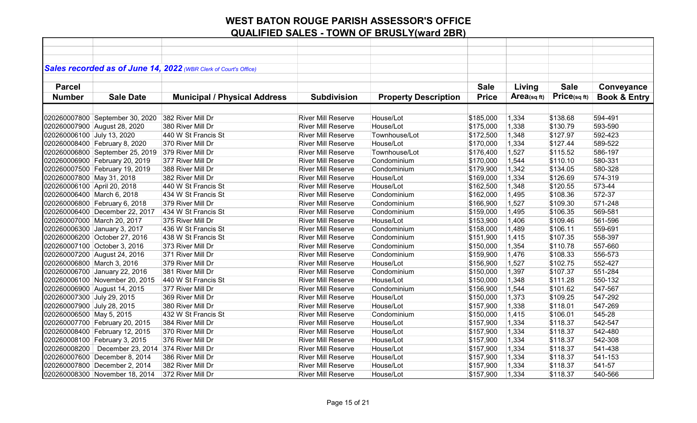|                             |                                  | Sales recorded as of June 14, 2022 (WBR Clerk of Court's Office) |                           |                             |              |            |             |                         |
|-----------------------------|----------------------------------|------------------------------------------------------------------|---------------------------|-----------------------------|--------------|------------|-------------|-------------------------|
|                             |                                  |                                                                  |                           |                             |              |            |             |                         |
| <b>Parcel</b>               |                                  |                                                                  |                           |                             | <b>Sale</b>  | Living     | <b>Sale</b> | Conveyance              |
| <b>Number</b>               | <b>Sale Date</b>                 | <b>Municipal / Physical Address</b>                              | <b>Subdivision</b>        | <b>Property Description</b> | <b>Price</b> | Area(sqft) | Price(sqft) | <b>Book &amp; Entry</b> |
|                             |                                  |                                                                  |                           |                             |              |            |             |                         |
|                             | 020260007800 September 30, 2020  | 382 River Mill Dr                                                | <b>River Mill Reserve</b> | House/Lot                   | \$185,000    | 1,334      | \$138.68    | 594-491                 |
|                             | 020260007900 August 28, 2020     | 380 River Mill Dr                                                | <b>River Mill Reserve</b> | House/Lot                   | \$175,000    | 1,338      | \$130.79    | 593-590                 |
| 020260006100 July 13, 2020  |                                  | 440 W St Francis St                                              | <b>River Mill Reserve</b> | Townhouse/Lot               | \$172,500    | 1,348      | \$127.97    | 592-423                 |
|                             | 020260008400 February 8, 2020    | 370 River Mill Dr                                                | <b>River Mill Reserve</b> | House/Lot                   | \$170,000    | 1,334      | \$127.44    | 589-522                 |
|                             | 020260006800 September 25, 2019  | 379 River Mill Dr                                                | <b>River Mill Reserve</b> | Townhouse/Lot               | \$176,400    | 1,527      | \$115.52    | 586-197                 |
|                             | 020260006900 February 20, 2019   | 377 River Mill Dr                                                | <b>River Mill Reserve</b> | Condominium                 | \$170,000    | 1,544      | \$110.10    | 580-331                 |
|                             | 020260007500 February 19, 2019   | 388 River Mill Dr                                                | <b>River Mill Reserve</b> | Condominium                 | \$179,900    | 1,342      | \$134.05    | 580-328                 |
| 020260007800 May 31, 2018   |                                  | 382 River Mill Dr                                                | <b>River Mill Reserve</b> | House/Lot                   | \$169,000    | 1,334      | \$126.69    | 574-319                 |
| 020260006100 April 20, 2018 |                                  | 440 W St Francis St                                              | <b>River Mill Reserve</b> | House/Lot                   | \$162,500    | 1,348      | \$120.55    | 573-44                  |
| 020260006400 March 6, 2018  |                                  | 434 W St Francis St                                              | <b>River Mill Reserve</b> | Condominium                 | \$162,000    | 1,495      | \$108.36    | 572-37                  |
|                             | 020260006800 February 6, 2018    | 379 River Mill Dr                                                | <b>River Mill Reserve</b> | Condominium                 | \$166,900    | 1,527      | \$109.30    | 571-248                 |
|                             | 020260006400 December 22, 2017   | 434 W St Francis St                                              | <b>River Mill Reserve</b> | Condominium                 | \$159,000    | 1,495      | \$106.35    | 569-581                 |
|                             | 020260007000 March 20, 2017      | 375 River Mill Dr                                                | <b>River Mill Reserve</b> | House/Lot                   | \$153,900    | 1,406      | \$109.46    | 561-596                 |
|                             | 020260006300 January 3, 2017     | 436 W St Francis St                                              | River Mill Reserve        | Condominium                 | \$158,000    | 1,489      | \$106.11    | 559-691                 |
|                             | 020260006200 October 27, 2016    | 438 W St Francis St                                              | <b>River Mill Reserve</b> | Condominium                 | \$151,900    | 1,415      | \$107.35    | 558-397                 |
|                             | 020260007100 October 3, 2016     | 373 River Mill Dr                                                | <b>River Mill Reserve</b> | Condominium                 | \$150,000    | 1,354      | \$110.78    | 557-660                 |
|                             | 020260007200 August 24, 2016     | 371 River Mill Dr                                                | <b>River Mill Reserve</b> | Condominium                 | \$159,900    | 1,476      | \$108.33    | 556-573                 |
| 020260006800 March 3, 2016  |                                  | 379 River Mill Dr                                                | <b>River Mill Reserve</b> | House/Lot                   | \$156,900    | 1,527      | \$102.75    | 552-427                 |
|                             | 020260006700 January 22, 2016    | 381 River Mill Dr                                                | <b>River Mill Reserve</b> | Condominium                 | \$150,000    | 1,397      | \$107.37    | 551-284                 |
|                             | 020260006100 November 20, 2015   | 440 W St Francis St                                              | <b>River Mill Reserve</b> | House/Lot                   | \$150,000    | 1,348      | \$111.28    | 550-132                 |
|                             | 020260006900 August 14, 2015     | 377 River Mill Dr                                                | <b>River Mill Reserve</b> | Condominium                 | \$156,900    | 1,544      | \$101.62    | 547-567                 |
| 020260007300 July 29, 2015  |                                  | 369 River Mill Dr                                                | <b>River Mill Reserve</b> | House/Lot                   | \$150,000    | 1,373      | \$109.25    | 547-292                 |
| 020260007900 July 28, 2015  |                                  | 380 River Mill Dr                                                | <b>River Mill Reserve</b> | House/Lot                   | \$157,900    | 1,338      | \$118.01    | 547-269                 |
| 020260006500 May 5, 2015    |                                  | 432 W St Francis St                                              | <b>River Mill Reserve</b> | Condominium                 | \$150,000    | 1,415      | \$106.01    | 545-28                  |
|                             | 020260007700 February 20, 2015   | 384 River Mill Dr                                                | <b>River Mill Reserve</b> | House/Lot                   | \$157,900    | 1,334      | \$118.37    | 542-547                 |
|                             | 020260008400 February 12, 2015   | 370 River Mill Dr                                                | <b>River Mill Reserve</b> | House/Lot                   | \$157,900    | 1,334      | \$118.37    | 542-480                 |
|                             | 020260008100 February 3, 2015    | 376 River Mill Dr                                                | <b>River Mill Reserve</b> | House/Lot                   | \$157,900    | 1,334      | \$118.37    | 542-308                 |
|                             | 020260008200   December 23, 2014 | 374 River Mill Dr                                                | <b>River Mill Reserve</b> | House/Lot                   | \$157,900    | 1,334      | \$118.37    | 541-438                 |
|                             | 020260007600 December 8, 2014    | 386 River Mill Dr                                                | <b>River Mill Reserve</b> | House/Lot                   | \$157,900    | 1,334      | \$118.37    | 541-153                 |
|                             | 020260007800 December 2, 2014    | 382 River Mill Dr                                                | <b>River Mill Reserve</b> | House/Lot                   | \$157,900    | 1,334      | \$118.37    | 541-57                  |
|                             | 020260008300 November 18, 2014   | 372 River Mill Dr                                                | <b>River Mill Reserve</b> | House/Lot                   | \$157,900    | 1,334      | \$118.37    | 540-566                 |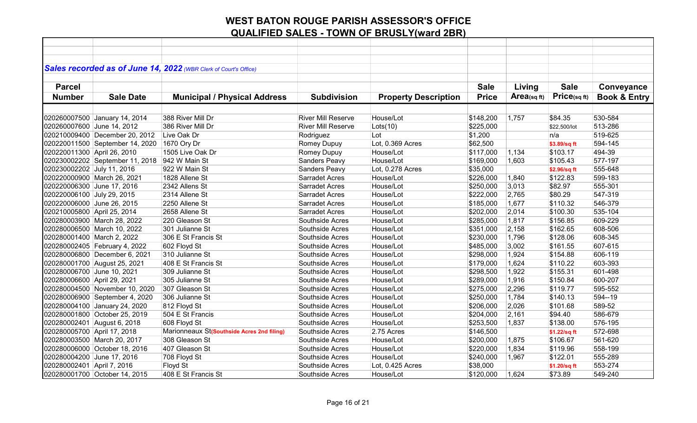|                             |                                 | Sales recorded as of June 14, 2022 (WBR Clerk of Court's Office) |                           |                             |              |             |              |                         |
|-----------------------------|---------------------------------|------------------------------------------------------------------|---------------------------|-----------------------------|--------------|-------------|--------------|-------------------------|
|                             |                                 |                                                                  |                           |                             |              |             |              |                         |
| <b>Parcel</b>               |                                 |                                                                  |                           |                             | <b>Sale</b>  | Living      | <b>Sale</b>  | Conveyance              |
| <b>Number</b>               | <b>Sale Date</b>                | <b>Municipal / Physical Address</b>                              | <b>Subdivision</b>        | <b>Property Description</b> | <b>Price</b> | Area(sq ft) | Price(sqft)  | <b>Book &amp; Entry</b> |
|                             |                                 |                                                                  |                           |                             |              |             |              |                         |
|                             | 020260007500 January 14, 2014   | 388 River Mill Dr                                                | <b>River Mill Reserve</b> | House/Lot                   | \$148,200    | 1,757       | \$84.35      | 530-584                 |
| 020260007600 June 14, 2012  |                                 | 386 River Mill Dr                                                | <b>River Mill Reserve</b> | $ $ Lots $(10)$             | \$225,000    |             | \$22.500/lot | 513-286                 |
|                             | 020210009400 December 20, 2012  | Live Oak Dr                                                      | Rodriguez                 | Lot                         | \$1,200      |             | n/a          | 519-625                 |
|                             | 020220011500 September 14, 2020 | 1670 Ory Dr                                                      | Romey Dupuy               | Lot, 0.369 Acres            | \$62,500     |             | \$3.89/sq ft | 594-145                 |
| 020220011300 April 26, 2010 |                                 | 1505 Live Oak Dr                                                 | Romey Dupuy               | House/Lot                   | \$117,000    | 1,134       | \$103.17     | 494-39                  |
|                             | 020230002202 September 11, 2018 | 942 W Main St                                                    | Sanders Peavy             | House/Lot                   | \$169,000    | 1,603       | \$105.43     | 577-197                 |
| 020230002202 July 11, 2016  |                                 | 922 W Main St                                                    | Sanders Peavy             | Lot, 0.278 Acres            | \$35,000     |             | \$2.96/sq ft | 555-648                 |
| 020220000900 March 26, 2021 |                                 | 1828 Allene St                                                   | <b>Sarradet Acres</b>     | House/Lot                   | \$226,000    | 1,840       | \$122.83     | 599-183                 |
| 020220006300 June 17, 2016  |                                 | 2342 Allens St                                                   | <b>Sarradet Acres</b>     | House/Lot                   | \$250,000    | 3,013       | \$82.97      | 555-301                 |
| 020220006100 July 29, 2015  |                                 | 2314 Allene St                                                   | <b>Sarradet Acres</b>     | House/Lot                   | \$222,000    | 2,765       | \$80.29      | 547-319                 |
| 020220006000 June 26, 2015  |                                 | 2250 Allene St                                                   | <b>Sarradet Acres</b>     | House/Lot                   | \$185,000    | 1,677       | \$110.32     | 546-379                 |
| 020210005800 April 25, 2014 |                                 | 2658 Allene St                                                   | <b>Sarradet Acres</b>     | House/Lot                   | \$202,000    | 2,014       | \$100.30     | 535-104                 |
| 020280003900 March 28, 2022 |                                 | 220 Gleason St                                                   | Southside Acres           | House/Lot                   | \$285,000    | 1,817       | \$156.85     | 609-229                 |
|                             | 020280006500 March 10, 2022     | 301 Julianne St                                                  | Southside Acres           | House/Lot                   | \$351,000    | 2,158       | \$162.65     | 608-506                 |
| 020280001400 March 2, 2022  |                                 | 306 E St Francis St                                              | Southside Acres           | House/Lot                   | \$230,000    | 1,796       | \$128.06     | 608-345                 |
|                             | 020280002405 February 4, 2022   | 602 Floyd St                                                     | Southside Acres           | House/Lot                   | \$485,000    | 3,002       | \$161.55     | 607-615                 |
|                             | 020280006800 December 6, 2021   | 310 Julianne St                                                  | Southside Acres           | House/Lot                   | \$298,000    | 1,924       | \$154.88     | 606-119                 |
|                             | 020280001700 August 25, 2021    | 408 E St Francis St                                              | Southside Acres           | House/Lot                   | \$179,000    | 1,624       | \$110.22     | 603-393                 |
| 020280006700 June 10, 2021  |                                 | 309 Julianne St                                                  | Southside Acres           | House/Lot                   | \$298,500    | 1,922       | \$155.31     | 601-498                 |
| 020280006600 April 29, 2021 |                                 | 305 Julianne St                                                  | Southside Acres           | House/Lot                   | \$289,000    | 1,916       | \$150.84     | 600-207                 |
|                             | 020280004500 November 10, 2020  | 307 Gleason St                                                   | Southside Acres           | House/Lot                   | \$275,000    | 2,296       | \$119.77     | 595-552                 |
|                             | 020280006900 September 4, 2020  | 306 Julianne St                                                  | Southside Acres           | House/Lot                   | \$250,000    | 1,784       | \$140.13     | 594--19                 |
|                             | 020280004100 January 24, 2020   | 812 Floyd St                                                     | Southside Acres           | House/Lot                   | \$206,000    | 2,026       | \$101.68     | 589-52                  |
|                             | 020280001800 October 25, 2019   | 504 E St Francis                                                 | Southside Acres           | House/Lot                   | \$204,000    | 2,161       | \$94.40      | 586-679                 |
| 020280002401 August 6, 2018 |                                 | 608 Floyd St                                                     | Southside Acres           | House/Lot                   | \$253,500    | 1,837       | \$138.00     | 576-195                 |
| 020280005700 April 17, 2018 |                                 | Marionneaux St(Southside Acres 2nd filing)                       | Southside Acres           | 2.75 Acres                  | \$146,500    |             | \$1.22/sq ft | 572-698                 |
| 020280003500 March 20, 2017 |                                 | 308 Gleason St                                                   | Southside Acres           | House/Lot                   | \$200,000    | 1,875       | \$106.67     | 561-620                 |
|                             | 020280006000 October 18, 2016   | 407 Gleason St                                                   | Southside Acres           | House/Lot                   | \$220,000    | 1,834       | \$119.96     | 558-199                 |
| 020280004200 June 17, 2016  |                                 | 708 Floyd St                                                     | Southside Acres           | House/Lot                   | \$240,000    | 1,967       | \$122.01     | 555-289                 |
| 020280002401 April 7, 2016  |                                 | Floyd St                                                         | Southside Acres           | Lot, 0.425 Acres            | \$38,000     |             | \$1.20/sq ft | 553-274                 |
|                             | 020280001700 October 14, 2015   | 408 E St Francis St                                              | Southside Acres           | House/Lot                   | \$120,000    | 1,624       | \$73.89      | 549-240                 |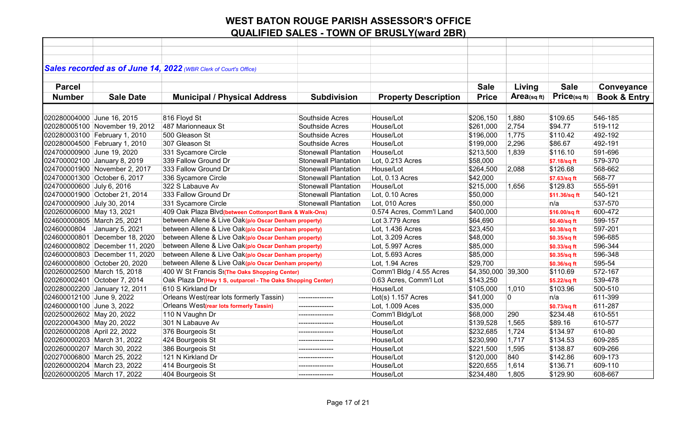|                             |                                | Sales recorded as of June 14, 2022 (WBR Clerk of Court's Office) |                             |                             |                    |            |               |                         |
|-----------------------------|--------------------------------|------------------------------------------------------------------|-----------------------------|-----------------------------|--------------------|------------|---------------|-------------------------|
|                             |                                |                                                                  |                             |                             |                    |            |               |                         |
| <b>Parcel</b>               |                                |                                                                  |                             |                             | <b>Sale</b>        | Living     | <b>Sale</b>   | Conveyance              |
| <b>Number</b>               | <b>Sale Date</b>               | <b>Municipal / Physical Address</b>                              | <b>Subdivision</b>          | <b>Property Description</b> | <b>Price</b>       | Area(sqft) | Price(sqft)   | <b>Book &amp; Entry</b> |
|                             |                                |                                                                  |                             |                             |                    |            |               |                         |
| 020280004000 June 16, 2015  |                                | 816 Floyd St                                                     | Southside Acres             | House/Lot                   | \$206,150          | 1,880      | \$109.65      | 546-185                 |
|                             | 020280005100 November 19, 2012 | 487 Marionneaux St                                               | Southside Acres             | House/Lot                   | \$261,000          | 2,754      | \$94.77       | 519-112                 |
|                             | 020280003100 February 1, 2010  | 500 Gleason St                                                   | Southside Acres             | House/Lot                   | \$196,000          | 1,775      | \$110.42      | 492-192                 |
|                             | 020280004500 February 1, 2010  | 307 Gleason St                                                   | Southside Acres             | House/Lot                   | \$199,000          | 2,296      | \$86.67       | 492-191                 |
| 024700000900 June 19, 2020  |                                | 331 Sycamore Circle                                              | <b>Stonewall Plantation</b> | House/Lot                   | \$213,500          | 1,839      | \$116.10      | 591-696                 |
|                             | 024700002100 January 8, 2019   | 339 Fallow Ground Dr                                             | <b>Stonewall Plantation</b> | Lot, 0.213 Acres            | \$58,000           |            | \$7.18/sq ft  | 579-370                 |
|                             | 024700001900 November 2, 2017  | 333 Fallow Ground Dr                                             | <b>Stonewall Plantation</b> | House/Lot                   | \$264,500          | 2,088      | \$126.68      | 568-662                 |
|                             | 024700001300 October 6, 2017   | 336 Sycamore Circle                                              | <b>Stonewall Plantation</b> | Lot, 0.13 Acres             | \$42,000           |            | \$7.63/sq ft  | 568-77                  |
| 024700000600 July 6, 2016   |                                | 322 S Labauve Av                                                 | <b>Stonewall Plantation</b> | House/Lot                   | \$215,000          | 1,656      | \$129.83      | 555-591                 |
|                             | 024700001900 October 21, 2014  | 333 Fallow Ground Dr                                             | <b>Stonewall Plantation</b> | Lot, 0.10 Acres             | \$50,000           |            | \$11.36/sq ft | 540-121                 |
| 024700000900 July 30, 2014  |                                | 331 Sycamore Circle                                              | <b>Stonewall Plantation</b> | Lot, 010 Acres              | \$50,000           |            | n/a           | 537-570                 |
| 020260006000 May 13, 2021   |                                | 409 Oak Plaza Blvd(between Cottonport Bank & Walk-Ons)           |                             | 0.574 Acres, Comm'l Land    | \$400,000          |            | \$16.00/sq ft | 600-472                 |
|                             | 024600000805 March 25, 2021    | between Allene & Live Oak(p/o Oscar Denham property)             |                             | Lot 3.779 Acres             | \$64,690           |            | \$0.40/sq ft  | 599-157                 |
| 02460000804                 | January 5, 2021                | between Allene & Live Oak(p/o Oscar Denham property)             |                             | Lot, 1.436 Acres            | \$23,450           |            | \$0.38/sq ft  | 597-201                 |
|                             | 024600000801 December 18, 2020 | between Allene & Live Oak(p/o Oscar Denham property)             |                             | Lot, 3.209 Acres            | \$48,000           |            | \$0.35/sq ft  | 596-685                 |
|                             | 024600000802 December 11, 2020 | between Allene & Live Oak(p/o Oscar Denham property)             |                             | Lot, 5.997 Acres            | \$85,000           |            | \$0.33/sq ft  | 596-344                 |
|                             | 024600000803 December 11, 2020 | between Allene & Live Oak(p/o Oscar Denham property)             |                             | Lot, 5.693 Acres            | \$85,000           |            | \$0.35/sq ft  | 596-348                 |
|                             | 024600000800 October 20, 2020  | between Allene & Live Oak(p/o Oscar Denham property)             |                             | Lot, 1.94 Acres             | \$29,700           |            | \$0.36/sq ft  | 595-54                  |
|                             | 020260002500 March 15, 2018    | 400 W St Francis St(The Oaks Shopping Center)                    |                             | Comm'l Bldg / 4.55 Acres    | \$4,350,000 39,300 |            | \$110.69      | 572-167                 |
|                             | 020260002401 October 7, 2014   | Oak Plaza Dr(Hwy 1 S, outparcel - The Oaks Shopping Center)      |                             | 0.63 Acres, Comm'l Lot      | \$143,250          |            | \$5.22/sq ft  | 539-478                 |
|                             | 020280002200 January 12, 2011  | 610 S Kirkland Dr                                                |                             | House/Lot                   | \$105,000          | 1,010      | \$103.96      | 500-510                 |
| 024600012100 June 9, 2022   |                                | Orleans West(rear lots formerly Tassin)                          | ---------------             | $Lot(s)$ 1.157 Acres        | \$41,000           | 0          | n/a           | 611-399                 |
| 024600000100 June 3, 2022   |                                | Orleans West(rear lots formerly Tassin)                          |                             | Lot, 1.009 Aces             | \$35,000           |            | \$0.73/sq ft  | 611-287                 |
| 020250002602 May 20, 2022   |                                | 110 N Vaughn Dr                                                  |                             | Comm'l Bldg/Lot             | \$68,000           | 290        | \$234.48      | 610-551                 |
| 020220004300 May 20, 2022   |                                | 301 N Labauve Av                                                 | ---------------             | House/Lot                   | \$139,528          | 1,565      | \$89.16       | 610-577                 |
| 020260000208 April 22, 2022 |                                | 376 Bourgeois St                                                 |                             | House/Lot                   | \$232,685          | 1,724      | \$134.97      | 610-80                  |
|                             | 020260000203 March 31, 2022    | 424 Bourgeois St                                                 | ---------------             | House/Lot                   | \$230,990          | 1,717      | \$134.53      | 609-285                 |
|                             | 020260000207 March 30, 2022    | 386 Bourgeois St                                                 | ---------------             | House/Lot                   | \$221,500          | 1,595      | \$138.87      | 609-266                 |
|                             | 020270006800 March 25, 2022    | 121 N Kirkland Dr                                                | ---------------             | House/Lot                   | \$120,000          | 840        | \$142.86      | 609-173                 |
|                             | 020260000204 March 23, 2022    | 414 Bourgeois St                                                 | ---------------             | House/Lot                   | \$220,655          | 1,614      | \$136.71      | 609-110                 |
|                             | 020260000205 March 17, 2022    | 404 Bourgeois St                                                 | ---------------             | House/Lot                   | \$234,480          | 1,805      | \$129.90      | 608-667                 |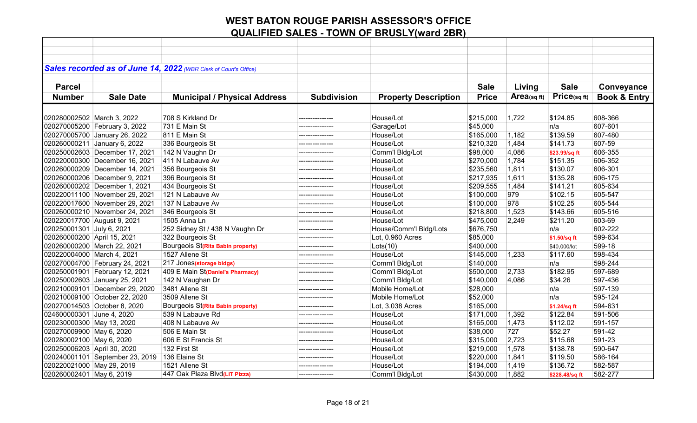|                             |                                 | Sales recorded as of June 14, 2022 (WBR Clerk of Court's Office) |                    |                             |              |             |                |                         |
|-----------------------------|---------------------------------|------------------------------------------------------------------|--------------------|-----------------------------|--------------|-------------|----------------|-------------------------|
|                             |                                 |                                                                  |                    |                             |              |             |                |                         |
| <b>Parcel</b>               |                                 |                                                                  |                    |                             | <b>Sale</b>  | Living      | <b>Sale</b>    | Conveyance              |
| <b>Number</b>               | <b>Sale Date</b>                | <b>Municipal / Physical Address</b>                              | <b>Subdivision</b> | <b>Property Description</b> | <b>Price</b> | Area(sq ft) | Price(sqft)    | <b>Book &amp; Entry</b> |
|                             |                                 |                                                                  |                    |                             |              |             |                |                         |
| 020280002502 March 3, 2022  |                                 | 708 S Kirkland Dr                                                | ---------------    | House/Lot                   | \$215,000    | 1,722       | \$124.85       | 608-366                 |
|                             | 020270005200 February 3, 2022   | 731 E Main St                                                    |                    | Garage/Lot                  | \$45,000     |             | n/a            | 607-601                 |
|                             | 020270005700 January 26, 2022   | 811 E Main St                                                    |                    | House/Lot                   | \$165,000    | 1,182       | \$139.59       | 607-480                 |
|                             | 020260000211 January 6, 2022    | 336 Bourgeois St                                                 | ---------------    | House/Lot                   | \$210,320    | 1,484       | \$141.73       | 607-59                  |
|                             | 020250002603 December 17, 2021  | 142 N Vaughn Dr                                                  | ---------------    | Comm'l Bldg/Lot             | \$98,000     | 4,086       | \$23.99/sq ft  | 606-355                 |
|                             | 020220000300 December 16, 2021  | 411 N Labauve Av                                                 |                    | House/Lot                   | \$270,000    | 1,784       | \$151.35       | 606-352                 |
|                             | 020260000209 December 14, 2021  | 356 Bourgeois St                                                 | ---------------    | House/Lot                   | \$235,560    | 1,811       | \$130.07       | 606-301                 |
|                             | 020260000206 December 9, 2021   | 396 Bourgeois St                                                 |                    | House/Lot                   | \$217,935    | 1,611       | \$135.28       | 606-175                 |
|                             | 020260000202 December 1, 2021   | 434 Bourgeois St                                                 |                    | House/Lot                   | \$209,555    | 1,484       | \$141.21       | 605-634                 |
|                             | 020220011100 November 29, 2021  | 121 N Labauve Av                                                 | ---------------    | House/Lot                   | \$100,000    | 979         | \$102.15       | 605-547                 |
|                             | 020220017600 November 29, 2021  | 137 N Labauve Av                                                 | ---------------    | House/Lot                   | \$100,000    | 978         | \$102.25       | 605-544                 |
|                             | 020260000210 November 24, 2021  | 346 Bourgeois St                                                 | ---------------    | House/Lot                   | \$218,800    | 1,523       | \$143.66       | 605-516                 |
| 020220017700 August 9, 2021 |                                 | 1505 Anna Ln                                                     | ---------------    | House/Lot                   | \$475,000    | 2,249       | \$211.20       | 603-69                  |
| 020250001301 July 6, 2021   |                                 | 252 Sidney St / 438 N Vaughn Dr                                  | ---------------    | House/Comm'l Bldg/Lots      | \$676,750    |             | n/a            | 602-222                 |
| 020260000200 April 15, 2021 |                                 | 322 Bourgeois St                                                 | ---------------    | Lot, 0.960 Acres            | \$85,000     |             | \$1.50/sq ft   | 599-634                 |
| 020260000200 March 22, 2021 |                                 | Bourgeois St(Rita Babin property)                                | ---------------    | Lots(10)                    | \$400,000    |             | \$40,000/lot   | 599-18                  |
| 020220004000 March 4, 2021  |                                 | 1527 Allene St                                                   |                    | House/Lot                   | \$145,000    | 1,233       | \$117.60       | 598-434                 |
|                             | 020270004700 February 24, 2021  | 217 Jones(storage bldgs)                                         | ---------------    | Comm'l Bldg/Lot             | \$140,000    |             | n/a            | 598-244                 |
|                             | 020250001901 February 12, 2021  | 409 E Main St(Daniel's Pharmacy)                                 |                    | Comm'l Bldg/Lot             | \$500,000    | 2,733       | \$182.95       | 597-689                 |
|                             | 020250002603 January 25, 2021   | 142 N Vaughan Dr                                                 | ---------------    | Comm'l Bldg/Lot             | \$140,000    | 4,086       | \$34.26        | 597-436                 |
|                             | 020210009101 December 29, 2020  | 3481 Allene St                                                   | ---------------    | Mobile Home/Lot             | \$28,000     |             | n/a            | 597-139                 |
|                             | 020210009100 October 22, 2020   | 3509 Allene St                                                   |                    | Mobile Home/Lot             | \$52,000     |             | n/a            | 595-124                 |
|                             | 020270014503 October 8, 2020    | Bourgeois St(Rita Babin property)                                | ---------------    | Lot, 3.038 Acres            | \$165,000    |             | \$1.24/sq ft   | 594-631                 |
| 024600000301 June 4, 2020   |                                 | 539 N Labauve Rd                                                 |                    | House/Lot                   | \$171,000    | 1,392       | \$122.84       | 591-506                 |
| 020230000300 May 13, 2020   |                                 | 408 N Labauve Av                                                 |                    | House/Lot                   | \$165,000    | 1,473       | \$112.02       | 591-157                 |
| 020270009900 May 6, 2020    |                                 | 506 E Main St                                                    |                    | House/Lot                   | \$38,000     | 727         | \$52.27        | 591-42                  |
| 020280002100 May 6, 2020    |                                 | 606 E St Francis St                                              |                    | House/Lot                   | \$315,000    | 2,723       | \$115.68       | 591-23                  |
| 020250006203 April 30, 2020 |                                 | 132 First St                                                     | ---------------    | House/Lot                   | \$219,000    | 1,578       | \$138.78       | 590-647                 |
|                             | 020240001101 September 23, 2019 | 136 Elaine St                                                    | ---------------    | House/Lot                   | \$220,000    | 1,841       | \$119.50       | 586-164                 |
| 020220021000 May 29, 2019   |                                 | 1521 Allene St                                                   | --------------     | House/Lot                   | \$194,000    | 1,419       | \$136.72       | 582-587                 |
| 020260002401 May 6, 2019    |                                 | 447 Oak Plaza Blvd(LIT Pizza)                                    | ---------------    | Comm'l Bldg/Lot             | \$430,000    | 1,882       | \$228.48/sq ft | 582-277                 |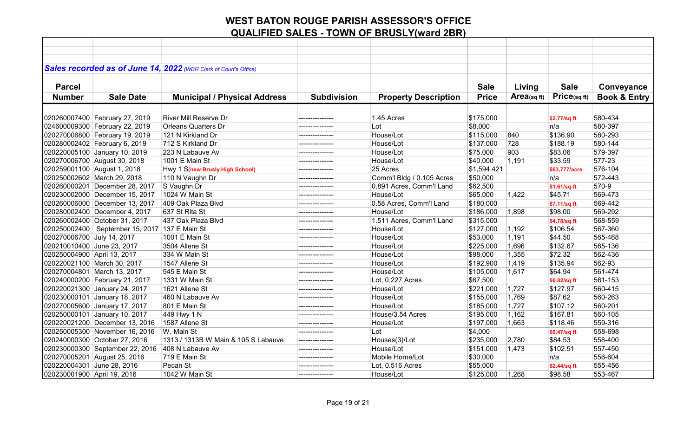| Sales recorded as of June 14, 2022 (WBR Clerk of Court's Office)<br><b>Parcel</b><br><b>Sale</b><br><b>Sale</b><br>Living<br>Price(sqft)<br>Area(sqft)<br><b>Number</b><br><b>Sale Date</b><br><b>Municipal / Physical Address</b><br><b>Subdivision</b><br><b>Property Description</b><br><b>Price</b> | Conveyance<br><b>Book &amp; Entry</b><br>580-434<br>580-397<br>580-293 |
|---------------------------------------------------------------------------------------------------------------------------------------------------------------------------------------------------------------------------------------------------------------------------------------------------------|------------------------------------------------------------------------|
|                                                                                                                                                                                                                                                                                                         |                                                                        |
|                                                                                                                                                                                                                                                                                                         |                                                                        |
|                                                                                                                                                                                                                                                                                                         |                                                                        |
|                                                                                                                                                                                                                                                                                                         |                                                                        |
|                                                                                                                                                                                                                                                                                                         |                                                                        |
|                                                                                                                                                                                                                                                                                                         |                                                                        |
| <b>River Mill Reserve Dr</b><br>1.45 Acres<br>---------------                                                                                                                                                                                                                                           |                                                                        |
| 020260007400 February 27, 2019<br>\$175,000<br>\$2.77/sq ft<br><b>Orleans Quarters Dr</b><br>Lot<br>n/a                                                                                                                                                                                                 |                                                                        |
| 024600009300 February 22, 2019<br>\$8,000<br>\$115,000<br>\$136.90<br>121 N Kirkland Dr<br>House/Lot<br>840                                                                                                                                                                                             |                                                                        |
| 020270006800 February 19, 2019<br>712 S Kirkland Dr<br>728<br>\$188.19<br>House/Lot                                                                                                                                                                                                                     | 580-144                                                                |
| 020280002402 February 6, 2019<br>\$137,000<br>---------------                                                                                                                                                                                                                                           |                                                                        |
| 020220005100 January 10, 2019<br>903<br>223 N Labauve Av<br>House/Lot<br>\$75,000<br>\$83.06<br>--------------                                                                                                                                                                                          | 579-397                                                                |
| 020270006700 August 30, 2018<br>1001 E Main St<br>House/Lot<br>\$40,000<br>1,191<br>\$33.59                                                                                                                                                                                                             | 577-23                                                                 |
| 25 Acres<br>020259001100 August 1, 2018<br>Hwy 1 S(new Brusly High School)<br>\$1,594,421<br>\$63.777/acre<br>---------------                                                                                                                                                                           | 576-104                                                                |
| 020250002602 March 29, 2018<br>110 N Vaughn Dr<br>Comm'l Bldg / 0.105 Acres<br>\$50,000<br>n/a<br>---------------                                                                                                                                                                                       | 572-443                                                                |
| 020260000201 December 28, 2017<br>S Vaughn Dr<br>0.891 Acres, Comm'l Land<br>\$62,500<br>\$1.61/sq ft                                                                                                                                                                                                   | 570-9                                                                  |
| House/Lot<br>\$65,000<br>\$45.71<br>020230002000 December 15, 2017<br>1024 W Main St<br>1,422<br>_______________                                                                                                                                                                                        | 569-473                                                                |
| 020260006000 December 13, 2017<br>409 Oak Plaza Blvd<br>0.58 Acres, Comm'l Land<br>\$180,000<br>\$7.11/sq ft<br>---------------                                                                                                                                                                         | 569-442                                                                |
| 020280002400 December 4, 2017<br>637 St Rita St<br>House/Lot<br>\$186,000<br>\$98.00<br>1,898<br>---------------                                                                                                                                                                                        | 569-292                                                                |
| 437 Oak Plaza Blvd<br>1.511 Acres, Comm'l Land<br>020260002400 October 31, 2017<br>\$315,000<br>\$4.78/sq ft<br>---------------                                                                                                                                                                         | 568-559                                                                |
| 020250002400   September 15, 2017   137 E Main St<br>\$106.54<br>House/Lot<br>\$127,000<br>1,192                                                                                                                                                                                                        | 567-360                                                                |
| 1,191<br>020270006700 July 14, 2017<br>1001 E Main St<br>House/Lot<br>\$53,000<br>\$44.50<br>---------------                                                                                                                                                                                            | 565-468                                                                |
| 1,696<br>020210010400 June 23, 2017<br>3504 Allene St<br>House/Lot<br>\$225,000<br>\$132.67                                                                                                                                                                                                             | 565-136                                                                |
| 1,355<br>\$72.32<br>020250004900 April 13, 2017<br>334 W Main St<br>House/Lot<br>\$98,000                                                                                                                                                                                                               | 562-436                                                                |
| 1,419<br>\$135.94<br>020220021100 March 30, 2017<br>1547 Allene St<br>House/Lot<br>\$192,900                                                                                                                                                                                                            | 562-93                                                                 |
| House/Lot<br>\$64.94<br>020270004801 March 13, 2017<br>545 E Main St<br>\$105,000<br>1,617<br>---------------                                                                                                                                                                                           | 561-474                                                                |
| 020240000200 February 21, 2017<br>Lot, 0.227 Acres<br>\$67,500<br>1331 W Main St<br>\$6.82/sq ft                                                                                                                                                                                                        | 561-153                                                                |
| 020220021300 January 24, 2017<br>House/Lot<br>1621 Allene St<br>\$221,000<br>1,727<br>\$127.97<br>--------------                                                                                                                                                                                        | 560-415                                                                |
| 020230000101 January 18, 2017<br>460 N Labauve Av<br>House/Lot<br>\$155,000<br>1,769<br>\$87.62<br>--------------                                                                                                                                                                                       | 560-263                                                                |
| 1,727<br>020270005600 January 17, 2017<br>801 E Main St<br>House/Lot<br>\$185,000<br>\$107.12                                                                                                                                                                                                           | 560-201                                                                |
| 020250000101 January 10, 2017<br>House/3.54 Acres<br>1,162<br>\$167.81<br>449 Hwy 1 N<br>\$195,000<br>---------------                                                                                                                                                                                   | 560-105                                                                |
| 020220021200 December 13, 2016<br>1587 Allene St<br>House/Lot<br>\$197,000<br>1,663<br>\$118.46<br>--------------                                                                                                                                                                                       | 559-316                                                                |
| 020250005300 November 16, 2016<br>W. Main St<br>Lot<br>\$4,000<br>\$0.47/sq ft<br>---------------                                                                                                                                                                                                       | 558-698                                                                |
| 020240000300 October 27, 2016<br>1313 / 1313B W Main & 105 S Labauve<br>Houses(3)/Lot<br>\$235,000<br>\$84.53<br>2,780<br>---------------                                                                                                                                                               | 558-400                                                                |
| 020230000300 September 22, 2016<br>408 N Labauve Av<br>House/Lot<br>1,473<br>\$102.51<br>\$151,000<br>---------------                                                                                                                                                                                   | 557-450                                                                |
| 020270005201 August 25, 2016<br>719 E Main St<br>Mobile Home/Lot<br>\$30,000<br>n/a<br>---------------                                                                                                                                                                                                  | 556-604                                                                |
| 020220004301 June 28, 2016<br>Pecan St<br>\$55,000<br>Lot, 0.516 Acres<br>\$2.44/sq ft<br>--------------                                                                                                                                                                                                | 555-456                                                                |
| \$125,000<br>020230001900 April 19, 2016<br>1042 W Main St<br>House/Lot<br>1,268<br>\$98.58<br>---------------                                                                                                                                                                                          | 553-467                                                                |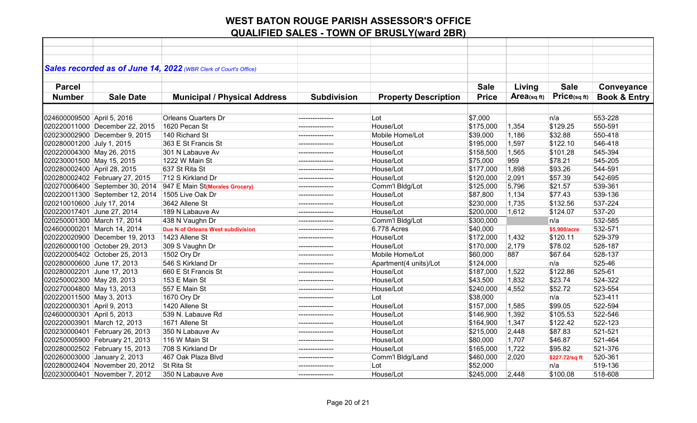|                              |                                 | Sales recorded as of June 14, 2022 (WBR Clerk of Court's Office) |                    |                             |              |             |                |                         |
|------------------------------|---------------------------------|------------------------------------------------------------------|--------------------|-----------------------------|--------------|-------------|----------------|-------------------------|
|                              |                                 |                                                                  |                    |                             |              |             |                |                         |
| <b>Parcel</b>                |                                 |                                                                  |                    |                             | <b>Sale</b>  | Living      | <b>Sale</b>    | Conveyance              |
| <b>Number</b>                | <b>Sale Date</b>                | <b>Municipal / Physical Address</b>                              | <b>Subdivision</b> | <b>Property Description</b> | <b>Price</b> | Area(sq ft) | Price(sqft)    | <b>Book &amp; Entry</b> |
|                              |                                 |                                                                  |                    |                             |              |             |                |                         |
| 024600009500 April 5, 2016   |                                 | <b>Orleans Quarters Dr</b>                                       |                    | ∣Lot                        | \$7,000      |             | n/a            | 553-228                 |
|                              | 020220011000 December 22, 2015  | 1620 Pecan St                                                    | ---------------    | House/Lot                   | \$175,000    | 1,354       | \$129.25       | 550-591                 |
|                              | 020230002900 December 9, 2015   | 140 Richard St                                                   |                    | Mobile Home/Lot             | \$39,000     | 1,186       | \$32.88        | 550-418                 |
| 020280001200 July 1, 2015    |                                 | 363 E St Francis St                                              |                    | House/Lot                   | \$195,000    | 1,597       | \$122.10       | 546-418                 |
| 020220004300 May 26, 2015    |                                 | 301 N Labauve Av                                                 | ---------------    | House/Lot                   | \$158,500    | 1,565       | \$101.28       | 545-394                 |
| 020230001500 May 15, 2015    |                                 | 1222 W Main St                                                   |                    | House/Lot                   | \$75,000     | 959         | \$78.21        | 545-205                 |
| 020280002400 April 28, 2015  |                                 | 637 St Rita St                                                   |                    | House/Lot                   | \$177,000    | 1,898       | \$93.26        | 544-591                 |
|                              | 020280002402 February 27, 2015  | 712 S Kirkland Dr                                                | ---------------    | House/Lot                   | \$120,000    | 2,091       | \$57.39        | 542-695                 |
|                              | 020270006400 September 30, 2014 | 947 E Main St(Morales Grocery)                                   |                    | Comm'l Bldg/Lot             | \$125,000    | 5,796       | \$21.57        | 539-361                 |
|                              | 020220011300 September 12, 2014 | 1505 Live Oak Dr                                                 |                    | House/Lot                   | \$87,800     | 1,134       | \$77.43        | 539-136                 |
| 020210010600 July 17, 2014   |                                 | 3642 Allene St                                                   | ---------------    | House/Lot                   | \$230,000    | 1,735       | \$132.56       | 537-224                 |
| 020220017401 June 27, 2014   |                                 | 189 N Labauve Av                                                 | ---------------    | House/Lot                   | \$200,000    | 1,612       | \$124.07       | 537-20                  |
| 020250001300 March 17, 2014  |                                 | 438 N Vaughn Dr                                                  | ---------------    | Comm'l Bldg/Lot             | \$300,000    |             | n/a            | 532-585                 |
| 024600000201 March 14, 2014  |                                 | Due N of Orleans West subdivision                                | ---------------    | 6.778 Acres                 | \$40,000     |             | \$5.900/acre   | 532-571                 |
|                              | 020220020900 December 19, 2013  | 1423 Allene St                                                   |                    | House/Lot                   | \$172,000    | 1,432       | \$120.11       | 529-379                 |
|                              | 020260000100 October 29, 2013   | 309 S Vaughn Dr                                                  | ---------------    | House/Lot                   | \$170,000    | 2,179       | \$78.02        | 528-187                 |
|                              | 020220005402 October 25, 2013   | 1502 Ory Dr                                                      | ---------------    | Mobile Home/Lot             | \$60,000     | 887         | \$67.64        | 528-137                 |
| 020280000600 June 17, 2013   |                                 | 546 S Kirkland Dr                                                |                    | Apartment(4 units)/Lot      | \$124,000    |             | n/a            | 525-46                  |
| 020280002201 June 17, 2013   |                                 | 660 E St Francis St                                              | ---------------    | House/Lot                   | \$187,000    | 1,522       | \$122.86       | 525-61                  |
| 020250002300 May 28, 2013    |                                 | 153 E Main St                                                    | --------------     | House/Lot                   | \$43,500     | 1,832       | \$23.74        | 524-322                 |
| 020270004800 May 13, 2013    |                                 | 557 E Main St                                                    |                    | House/Lot                   | \$240,000    | 4,552       | \$52.72        | 523-554                 |
| 020220011500 May 3, 2013     |                                 | 1670 Ory Dr                                                      | ---------------    | Lot                         | \$38,000     |             | n/a            | 523-411                 |
| 020220000301 April 9, 2013   |                                 | 1420 Allene St                                                   | ---------------    | House/Lot                   | \$157,000    | 1,585       | \$99.05        | 522-594                 |
| 024600000301 April 5, 2013   |                                 | 539 N. Labauve Rd                                                |                    | House/Lot                   | \$146,900    | 1,392       | \$105.53       | 522-546                 |
| 020220003901 March 12, 2013  |                                 | 1671 Allene St                                                   |                    | House/Lot                   | \$164,900    | 1,347       | \$122.42       | 522-123                 |
|                              | 020230000401 February 26, 2013  | 350 N Labauve Av                                                 |                    | House/Lot                   | \$215,000    | 2,448       | \$87.83        | 521-521                 |
|                              | 020250005900 February 21, 2013  | 116 W Main St                                                    | ---------------    | House/Lot                   | \$80,000     | 1,707       | \$46.87        | 521-464                 |
|                              | 020280002502 February 15, 2013  | 708 S Kirkland Dr                                                | ---------------    | House/Lot                   | \$165,000    | 1,722       | \$95.82        | 521-376                 |
| 020260003000 January 2, 2013 |                                 | 467 Oak Plaza Blvd                                               | ---------------    | Comm'l Bldg/Land            | \$460,000    | 2,020       | \$227.72/sq ft | 520-361                 |
|                              | 020280002404 November 20, 2012  | St Rita St                                                       | --------------     | Lot                         | \$52,000     |             | n/a            | 519-136                 |
|                              | 020230000401 November 7, 2012   | 350 N Labauve Ave                                                | ---------------    | House/Lot                   | \$245,000    | 2,448       | \$100.08       | 518-608                 |